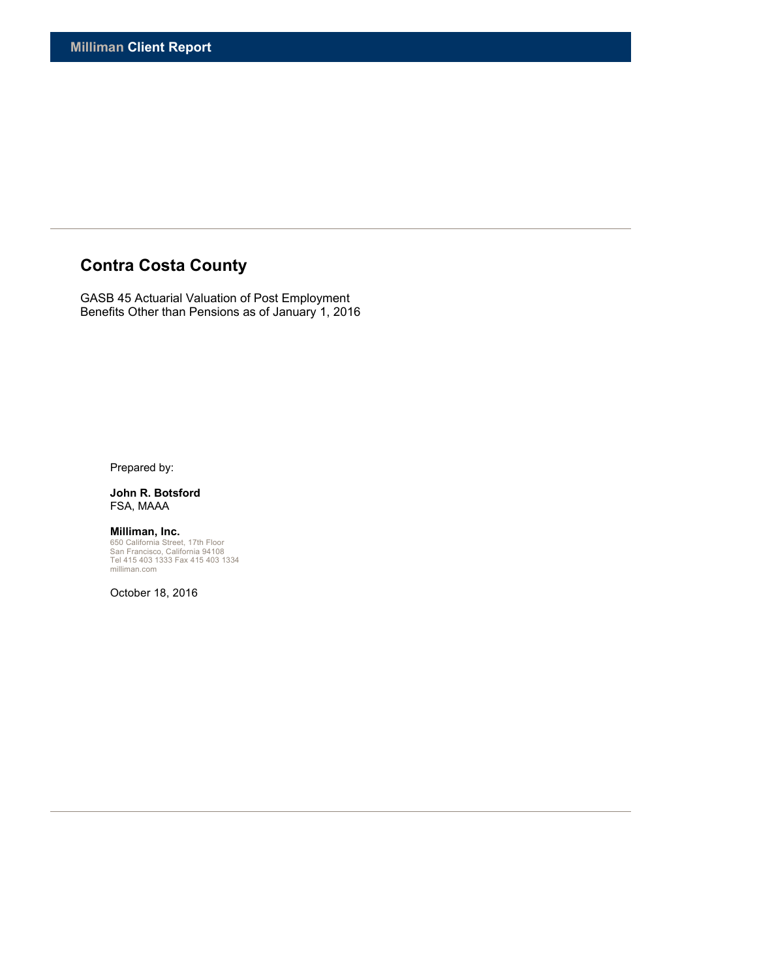# **Contra Costa County**

GASB 45 Actuarial Valuation of Post Employment Benefits Other than Pensions as of January 1, 2016

Prepared by:

**John R. Botsford** FSA, MAAA

**Milliman, Inc.**<br>650 California Street, 17th Floor<br>San Francisco, California 94108<br>Tel 415 403 1333 Fax 415 403 1334<br>milliman.com

October 18, 2016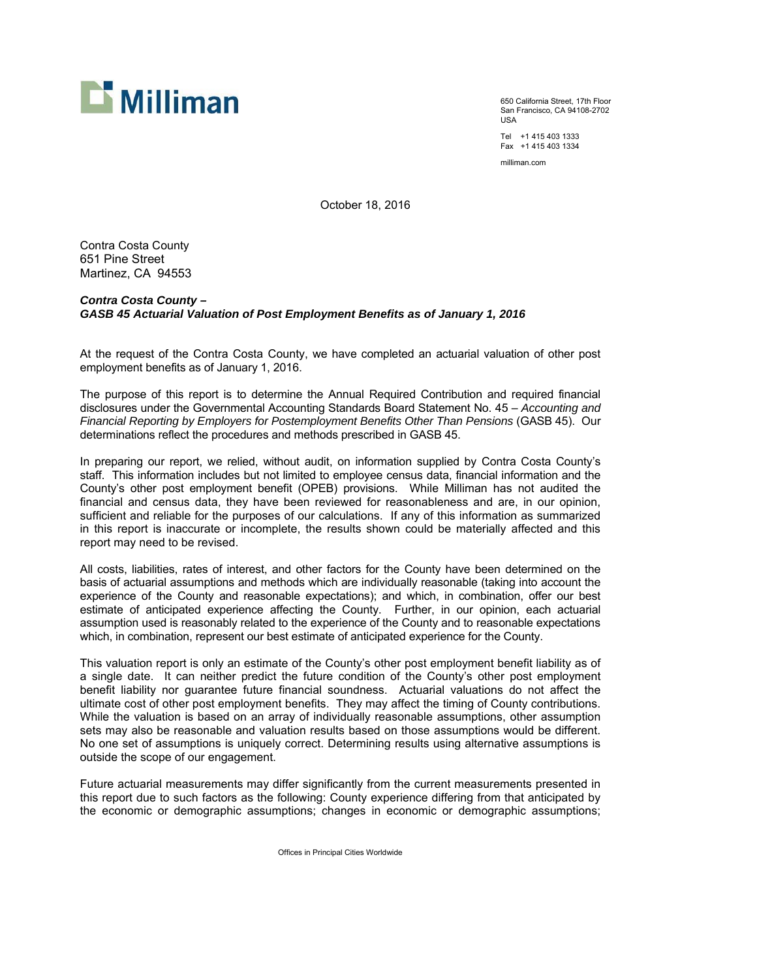

650 California Street, 17th Floor San Francisco, CA 94108-2702 USA

Tel +1 415 403 1333 Fax +1 415 403 1334

milliman.com

October 18, 2016

Contra Costa County 651 Pine Street Martinez, CA 94553

# *Contra Costa County – GASB 45 Actuarial Valuation of Post Employment Benefits as of January 1, 2016*

At the request of the Contra Costa County, we have completed an actuarial valuation of other post employment benefits as of January 1, 2016.

The purpose of this report is to determine the Annual Required Contribution and required financial disclosures under the Governmental Accounting Standards Board Statement No. 45 – *Accounting and Financial Reporting by Employers for Postemployment Benefits Other Than Pensions* (GASB 45). Our determinations reflect the procedures and methods prescribed in GASB 45.

In preparing our report, we relied, without audit, on information supplied by Contra Costa County's staff. This information includes but not limited to employee census data, financial information and the County's other post employment benefit (OPEB) provisions. While Milliman has not audited the financial and census data, they have been reviewed for reasonableness and are, in our opinion, sufficient and reliable for the purposes of our calculations. If any of this information as summarized in this report is inaccurate or incomplete, the results shown could be materially affected and this report may need to be revised.

All costs, liabilities, rates of interest, and other factors for the County have been determined on the basis of actuarial assumptions and methods which are individually reasonable (taking into account the experience of the County and reasonable expectations); and which, in combination, offer our best estimate of anticipated experience affecting the County. Further, in our opinion, each actuarial assumption used is reasonably related to the experience of the County and to reasonable expectations which, in combination, represent our best estimate of anticipated experience for the County.

This valuation report is only an estimate of the County's other post employment benefit liability as of a single date. It can neither predict the future condition of the County's other post employment benefit liability nor guarantee future financial soundness. Actuarial valuations do not affect the ultimate cost of other post employment benefits. They may affect the timing of County contributions. While the valuation is based on an array of individually reasonable assumptions, other assumption sets may also be reasonable and valuation results based on those assumptions would be different. No one set of assumptions is uniquely correct. Determining results using alternative assumptions is outside the scope of our engagement.

Future actuarial measurements may differ significantly from the current measurements presented in this report due to such factors as the following: County experience differing from that anticipated by the economic or demographic assumptions; changes in economic or demographic assumptions;

Offices in Principal Cities Worldwide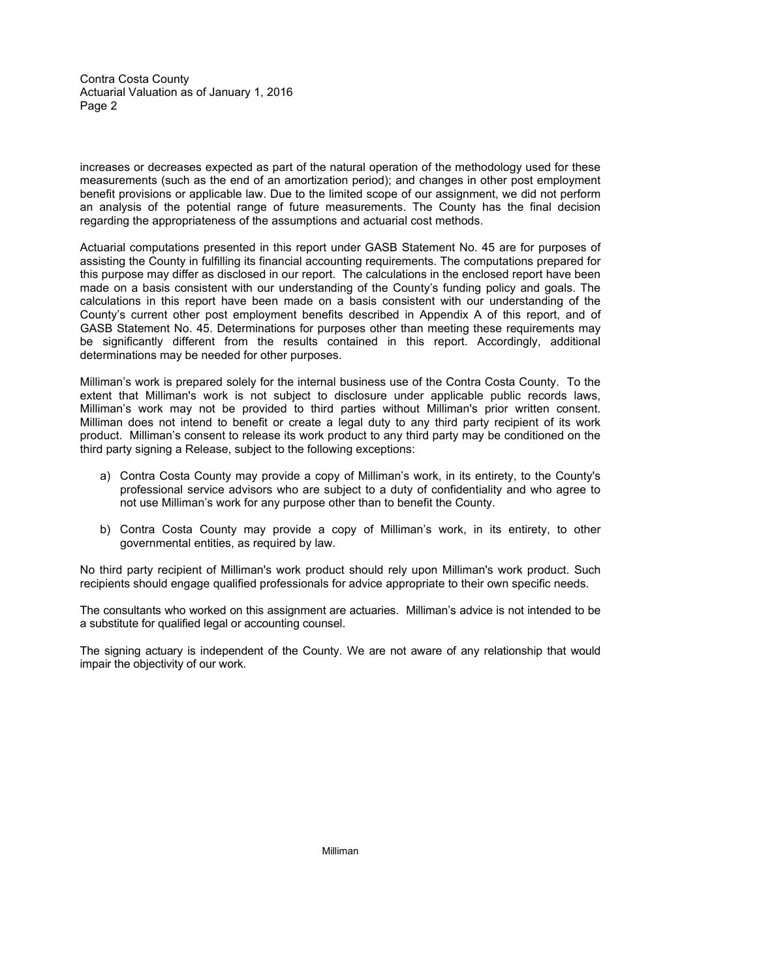Contra Costa County Actuarial Valuation as of January 1, 2016 Page 2

increases or decreases expected as part of the natural operation of the methodology used for these measurements (such as the end of an amortization period); and changes in other post employment benefit provisions or applicable law. Due to the limited scope of our assignment, we did not perform an analysis of the potential range of future measurements. The County has the final decision regarding the appropriateness of the assumptions and actuarial cost methods.

Actuarial computations presented in this report under GASB Statement No. 45 are for purposes of assisting the County in fulfilling its financial accounting requirements. The computations prepared for this purpose may differ as disclosed in our report. The calculations in the enclosed report have been made on a basis consistent with our understanding of the County's funding policy and goals. The calculations in this report have been made on a basis consistent with our understanding of the County's current other post employment benefits described in Appendix A of this report, and of GASB Statement No. 45. Determinations for purposes other than meeting these requirements may be significantly different from the results contained in this report. Accordingly, additional determinations may be needed for other purposes.

Milliman's work is prepared solely for the internal business use of the Contra Costa County. To the extent that Milliman's work is not subject to disclosure under applicable public records laws, Milliman's work may not be provided to third parties without Milliman's prior written consent. Milliman does not intend to benefit or create a legal duty to any third party recipient of its work product. Milliman's consent to release its work product to any third party may be conditioned on the third party signing a Release, subject to the following exceptions:

- a) Contra Costa County may provide a copy of Milliman's work, in its entirety, to the County's professional service advisors who are subject to a duty of confidentiality and who agree to not use Milliman's work for any purpose other than to benefit the County.
- b) Contra Costa County may provide a copy of Milliman's work, in its entirety, to other governmental entities, as required by law.

No third party recipient of Milliman's work product should rely upon Milliman's work product. Such recipients should engage qualified professionals for advice appropriate to their own specific needs.

The consultants who worked on this assignment are actuaries. Milliman's advice is not intended to be a substitute for qualified legal or accounting counsel.

The signing actuary is independent of the County. We are not aware of any relationship that would impair the objectivity of our work.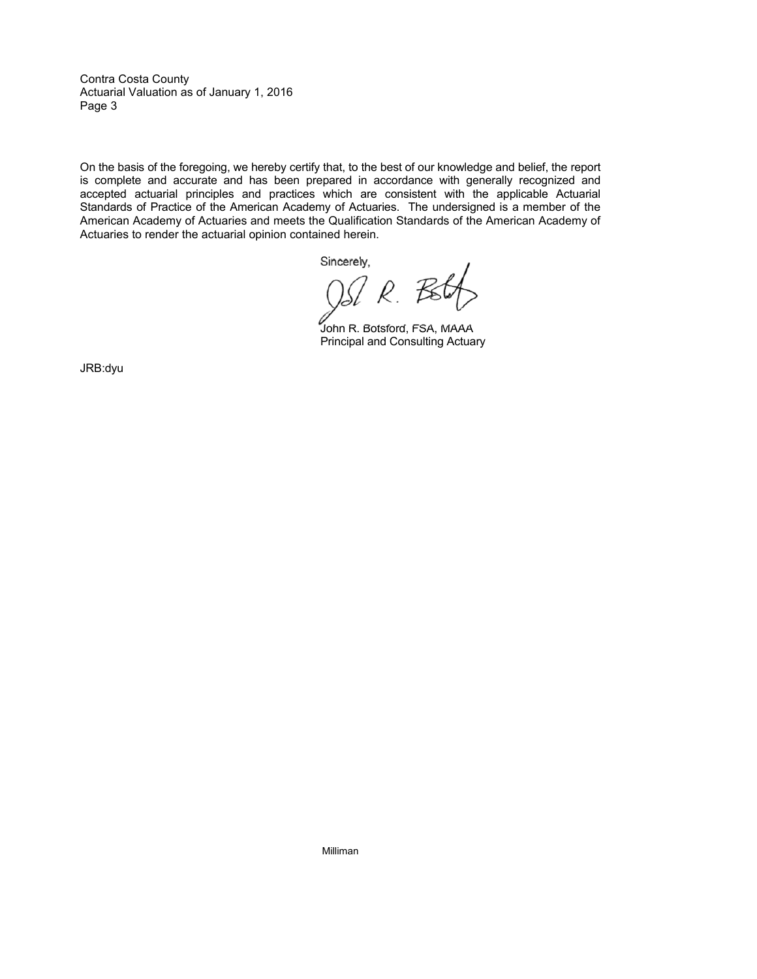Contra Costa County Actuarial Valuation as of January 1, 2016 Page 3

On the basis of the foregoing, we hereby certify that, to the best of our knowledge and belief, the report is complete and accurate and has been prepared in accordance with generally recognized and accepted actuarial principles and practices which are consistent with the applicable Actuarial Standards of Practice of the American Academy of Actuaries. The undersigned is a member of the American Academy of Actuaries and meets the Qualification Standards of the American Academy of Actuaries to render the actuarial opinion contained herein.

Sincerely.

 $\overline{\mathcal{R}}$ .  ${\mathcal{R}}$ 

John R. Botsford, FSA, MAAA Principal and Consulting Actuary

JRB:dyu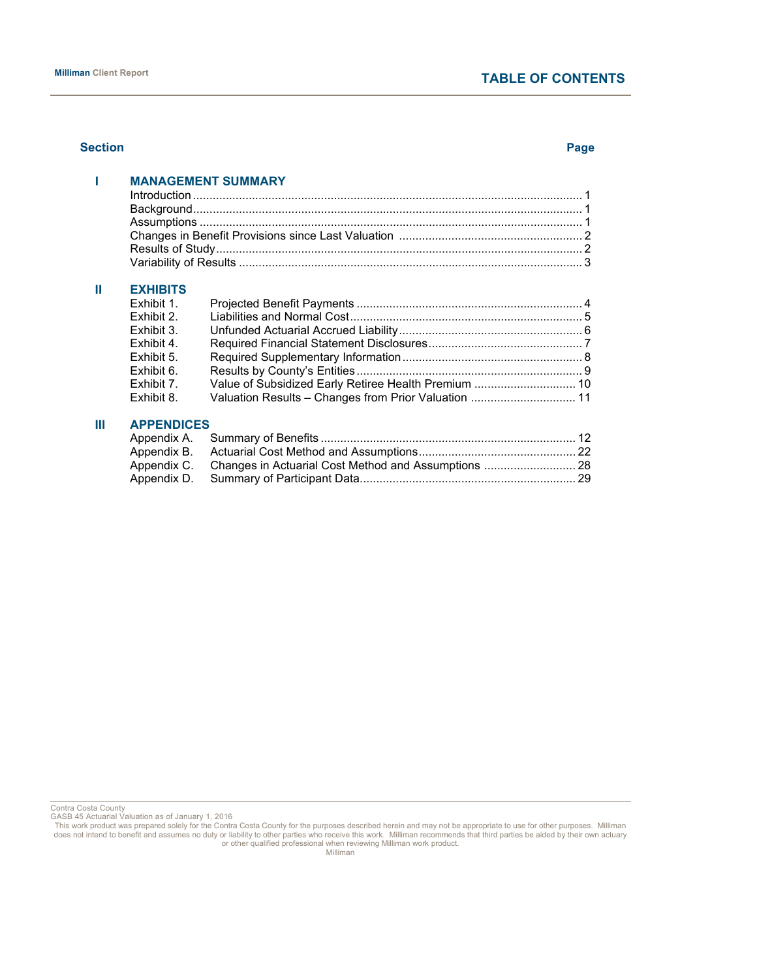#### **Section Page**

|                                          | <b>MANAGEMENT SUMMARY</b>         |  |
|------------------------------------------|-----------------------------------|--|
|                                          |                                   |  |
|                                          |                                   |  |
|                                          |                                   |  |
|                                          |                                   |  |
|                                          |                                   |  |
| <b>EXHIBITS</b>                          |                                   |  |
| Exhibit 1.                               |                                   |  |
| $Fv \sim h \cdot h \cdot f \cdot \Omega$ | $\Box$ inhibition and Neumal Coot |  |

| Exhibit 2. |                                                      |  |
|------------|------------------------------------------------------|--|
| Exhibit 3. |                                                      |  |
| Exhibit 4. |                                                      |  |
| Exhibit 5. |                                                      |  |
| Exhibit 6. |                                                      |  |
| Exhibit 7. |                                                      |  |
| Exhibit 8. | Valuation Results - Changes from Prior Valuation  11 |  |

# **III APPENDICES**

Contra Costa County GASB 45 Actuarial Valuation as of January 1, 2016

This work product was prepared solely for the Contra Costa County for the purposes described herein and may not be appropriate to use for other purposes. Milliman does not intend to benefit and assumes no duty or liability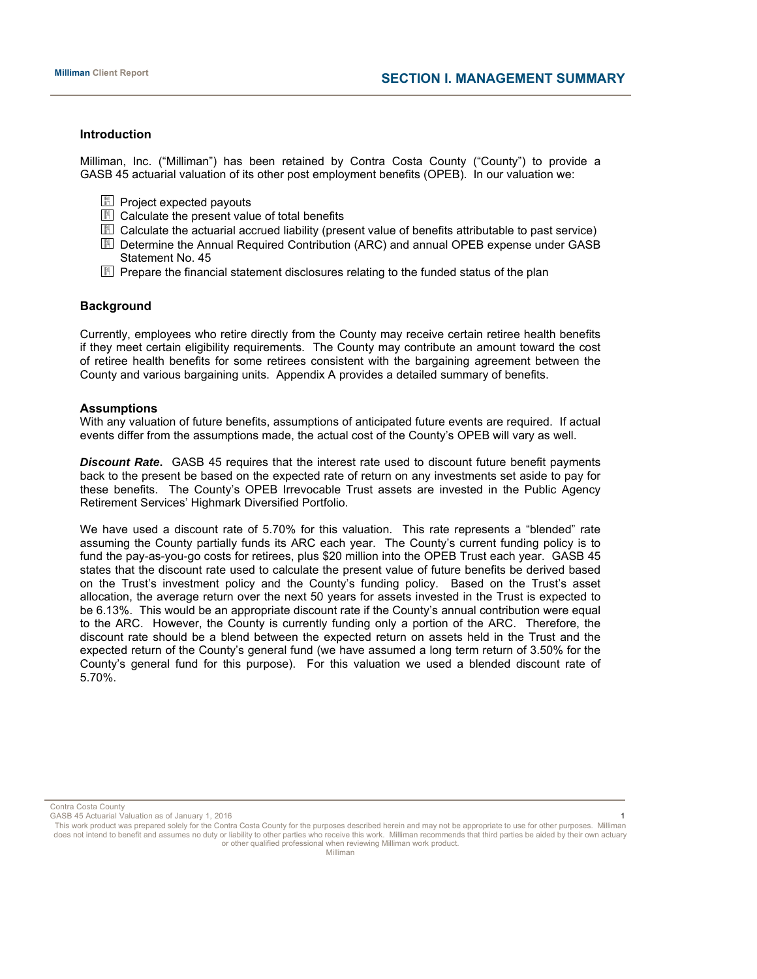# **Introduction**

Milliman, Inc. ("Milliman") has been retained by Contra Costa County ("County") to provide a GASB 45 actuarial valuation of its other post employment benefits (OPEB). In our valuation we:

- $\Box$  Project expected payouts
- **ED** Calculate the present value of total benefits
- **E** Calculate the actuarial accrued liability (present value of benefits attributable to past service)
- Determine the Annual Required Contribution (ARC) and annual OPEB expense under GASB Statement No. 45
- **Fig.** Prepare the financial statement disclosures relating to the funded status of the plan

# **Background**

Currently, employees who retire directly from the County may receive certain retiree health benefits if they meet certain eligibility requirements. The County may contribute an amount toward the cost of retiree health benefits for some retirees consistent with the bargaining agreement between the County and various bargaining units. Appendix A provides a detailed summary of benefits.

#### **Assumptions**

With any valuation of future benefits, assumptions of anticipated future events are required. If actual events differ from the assumptions made, the actual cost of the County's OPEB will vary as well.

*Discount Rate***.** GASB 45 requires that the interest rate used to discount future benefit payments back to the present be based on the expected rate of return on any investments set aside to pay for these benefits. The County's OPEB Irrevocable Trust assets are invested in the Public Agency Retirement Services' Highmark Diversified Portfolio.

We have used a discount rate of 5.70% for this valuation. This rate represents a "blended" rate assuming the County partially funds its ARC each year. The County's current funding policy is to fund the pay-as-you-go costs for retirees, plus \$20 million into the OPEB Trust each year. GASB 45 states that the discount rate used to calculate the present value of future benefits be derived based on the Trust's investment policy and the County's funding policy. Based on the Trust's asset allocation, the average return over the next 50 years for assets invested in the Trust is expected to be 6.13%. This would be an appropriate discount rate if the County's annual contribution were equal to the ARC. However, the County is currently funding only a portion of the ARC. Therefore, the discount rate should be a blend between the expected return on assets held in the Trust and the expected return of the County's general fund (we have assumed a long term return of 3.50% for the County's general fund for this purpose). For this valuation we used a blended discount rate of 5.70%.

Contra Costa County

GASB 45 Actuarial Valuation as of January 1, 2016 1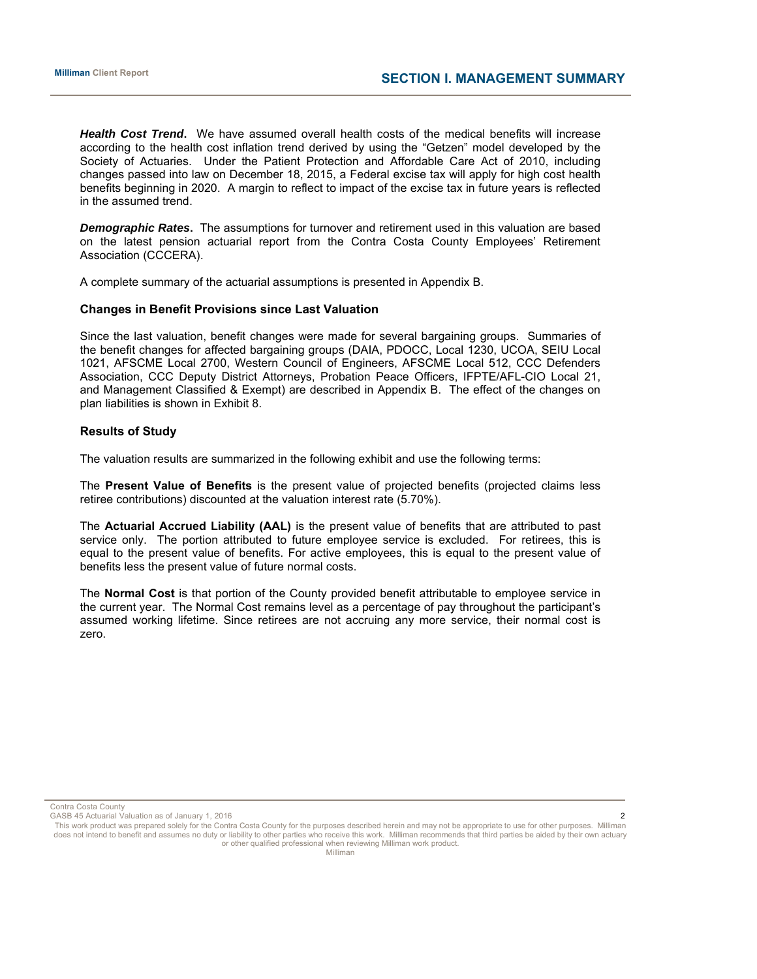*Health Cost Trend***.** We have assumed overall health costs of the medical benefits will increase according to the health cost inflation trend derived by using the "Getzen" model developed by the Society of Actuaries. Under the Patient Protection and Affordable Care Act of 2010, including changes passed into law on December 18, 2015, a Federal excise tax will apply for high cost health benefits beginning in 2020. A margin to reflect to impact of the excise tax in future years is reflected in the assumed trend.

*Demographic Rates***.** The assumptions for turnover and retirement used in this valuation are based on the latest pension actuarial report from the Contra Costa County Employees' Retirement Association (CCCERA).

A complete summary of the actuarial assumptions is presented in Appendix B.

#### **Changes in Benefit Provisions since Last Valuation**

Since the last valuation, benefit changes were made for several bargaining groups. Summaries of the benefit changes for affected bargaining groups (DAIA, PDOCC, Local 1230, UCOA, SEIU Local 1021, AFSCME Local 2700, Western Council of Engineers, AFSCME Local 512, CCC Defenders Association, CCC Deputy District Attorneys, Probation Peace Officers, IFPTE/AFL-CIO Local 21, and Management Classified & Exempt) are described in Appendix B. The effect of the changes on plan liabilities is shown in Exhibit 8.

#### **Results of Study**

The valuation results are summarized in the following exhibit and use the following terms:

The **Present Value of Benefits** is the present value of projected benefits (projected claims less retiree contributions) discounted at the valuation interest rate (5.70%).

The **Actuarial Accrued Liability (AAL)** is the present value of benefits that are attributed to past service only. The portion attributed to future employee service is excluded. For retirees, this is equal to the present value of benefits. For active employees, this is equal to the present value of benefits less the present value of future normal costs.

The **Normal Cost** is that portion of the County provided benefit attributable to employee service in the current year. The Normal Cost remains level as a percentage of pay throughout the participant's assumed working lifetime. Since retirees are not accruing any more service, their normal cost is zero.

Contra Costa County

GASB 45 Actuarial Valuation as of January 1, 2016 2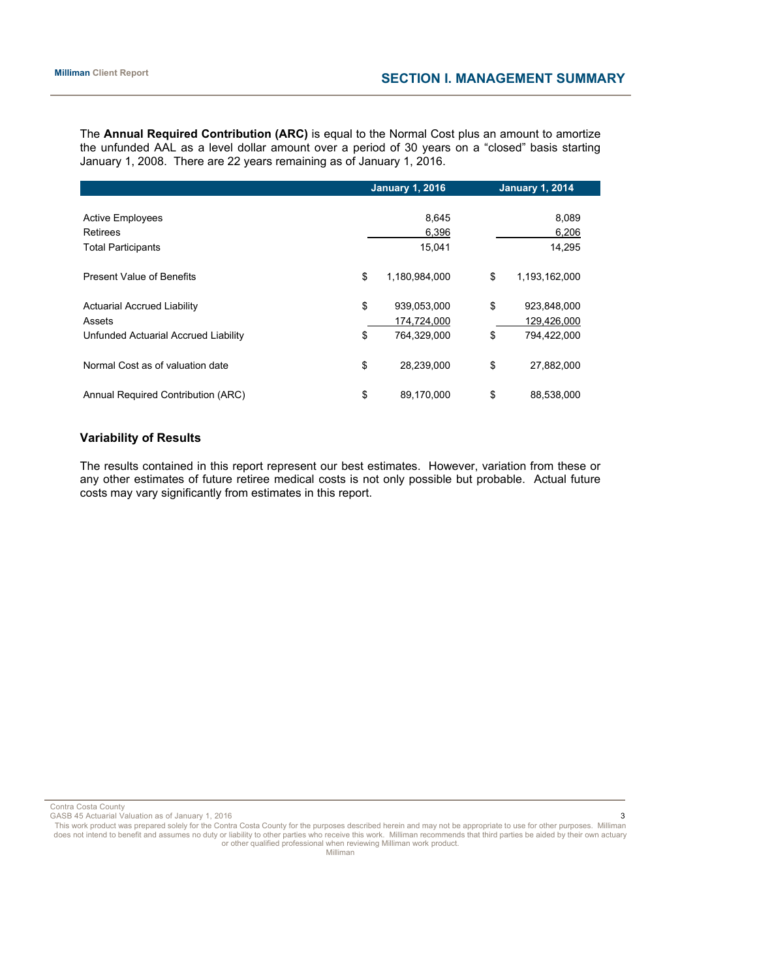The **Annual Required Contribution (ARC)** is equal to the Normal Cost plus an amount to amortize the unfunded AAL as a level dollar amount over a period of 30 years on a "closed" basis starting January 1, 2008. There are 22 years remaining as of January 1, 2016.

|                                      | <b>January 1, 2016</b> |               |    | <b>January 1, 2014</b> |
|--------------------------------------|------------------------|---------------|----|------------------------|
|                                      |                        |               |    |                        |
| <b>Active Employees</b>              |                        | 8,645         |    | 8,089                  |
| <b>Retirees</b>                      |                        | 6,396         |    | 6,206                  |
| <b>Total Participants</b>            |                        | 15.041        |    | 14,295                 |
| <b>Present Value of Benefits</b>     | \$                     | 1.180.984.000 | \$ | 1,193,162,000          |
| <b>Actuarial Accrued Liability</b>   | \$                     | 939,053,000   | \$ | 923,848,000            |
| Assets                               |                        | 174,724,000   |    | 129,426,000            |
| Unfunded Actuarial Accrued Liability | \$                     | 764,329,000   | \$ | 794,422,000            |
| Normal Cost as of valuation date     | \$                     | 28,239,000    | \$ | 27,882,000             |
| Annual Required Contribution (ARC)   | \$                     | 89,170,000    | \$ | 88,538,000             |

# **Variability of Results**

The results contained in this report represent our best estimates. However, variation from these or any other estimates of future retiree medical costs is not only possible but probable. Actual future costs may vary significantly from estimates in this report.

Contra Costa County

GASB 45 Actuarial Valuation as of January 1, 2016 3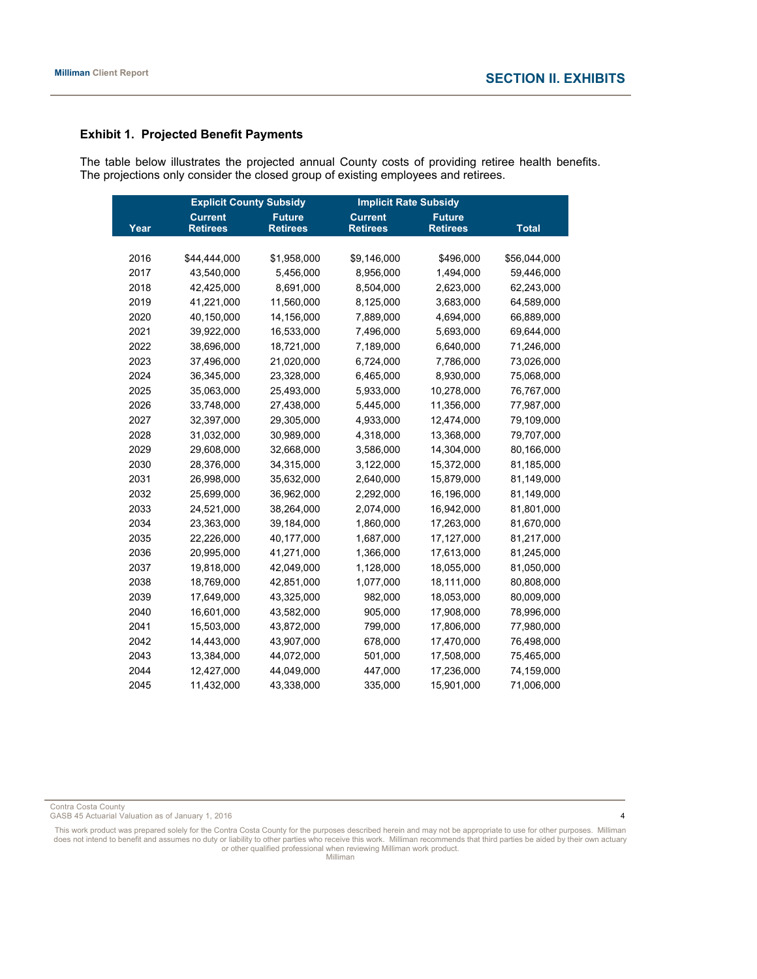# **Exhibit 1. Projected Benefit Payments**

The table below illustrates the projected annual County costs of providing retiree health benefits. The projections only consider the closed group of existing employees and retirees.

|      | <b>Explicit County Subsidy</b> |                 |                 | <b>Implicit Rate Subsidy</b> |              |  |  |
|------|--------------------------------|-----------------|-----------------|------------------------------|--------------|--|--|
|      | <b>Current</b>                 | <b>Future</b>   | <b>Current</b>  | <b>Future</b>                |              |  |  |
| Year | <b>Retirees</b>                | <b>Retirees</b> | <b>Retirees</b> | <b>Retirees</b>              | <b>Total</b> |  |  |
|      |                                |                 |                 |                              |              |  |  |
| 2016 | \$44,444,000                   | \$1,958,000     | \$9,146,000     | \$496,000                    | \$56,044,000 |  |  |
| 2017 | 43,540,000                     | 5,456,000       | 8,956,000       | 1,494,000                    | 59,446,000   |  |  |
| 2018 | 42,425,000                     | 8,691,000       | 8,504,000       | 2,623,000                    | 62,243,000   |  |  |
| 2019 | 41,221,000                     | 11,560,000      | 8,125,000       | 3,683,000                    | 64,589,000   |  |  |
| 2020 | 40,150,000                     | 14,156,000      | 7,889,000       | 4,694,000                    | 66,889,000   |  |  |
| 2021 | 39,922,000                     | 16,533,000      | 7,496,000       | 5,693,000                    | 69,644,000   |  |  |
| 2022 | 38,696,000                     | 18,721,000      | 7,189,000       | 6,640,000                    | 71,246,000   |  |  |
| 2023 | 37,496,000                     | 21,020,000      | 6,724,000       | 7,786,000                    | 73,026,000   |  |  |
| 2024 | 36,345,000                     | 23,328,000      | 6,465,000       | 8,930,000                    | 75,068,000   |  |  |
| 2025 | 35,063,000                     | 25,493,000      | 5,933,000       | 10,278,000                   | 76,767,000   |  |  |
| 2026 | 33,748,000                     | 27,438,000      | 5,445,000       | 11,356,000                   | 77,987,000   |  |  |
| 2027 | 32,397,000                     | 29,305,000      | 4,933,000       | 12,474,000                   | 79,109,000   |  |  |
| 2028 | 31,032,000                     | 30,989,000      | 4,318,000       | 13,368,000                   | 79,707,000   |  |  |
| 2029 | 29,608,000                     | 32,668,000      | 3,586,000       | 14,304,000                   | 80,166,000   |  |  |
| 2030 | 28,376,000                     | 34,315,000      | 3,122,000       | 15,372,000                   | 81,185,000   |  |  |
| 2031 | 26,998,000                     | 35,632,000      | 2,640,000       | 15,879,000                   | 81,149,000   |  |  |
| 2032 | 25,699,000                     | 36,962,000      | 2,292,000       | 16,196,000                   | 81,149,000   |  |  |
| 2033 | 24,521,000                     | 38,264,000      | 2,074,000       | 16,942,000                   | 81,801,000   |  |  |
| 2034 | 23,363,000                     | 39,184,000      | 1,860,000       | 17,263,000                   | 81,670,000   |  |  |
| 2035 | 22,226,000                     | 40,177,000      | 1,687,000       | 17,127,000                   | 81,217,000   |  |  |
| 2036 | 20,995,000                     | 41,271,000      | 1,366,000       | 17,613,000                   | 81,245,000   |  |  |
| 2037 | 19,818,000                     | 42,049,000      | 1,128,000       | 18,055,000                   | 81,050,000   |  |  |
| 2038 | 18,769,000                     | 42,851,000      | 1,077,000       | 18,111,000                   | 80,808,000   |  |  |
| 2039 | 17,649,000                     | 43,325,000      | 982,000         | 18,053,000                   | 80,009,000   |  |  |
| 2040 | 16,601,000                     | 43,582,000      | 905,000         | 17,908,000                   | 78,996,000   |  |  |
| 2041 | 15,503,000                     | 43,872,000      | 799,000         | 17,806,000                   | 77,980,000   |  |  |
| 2042 | 14,443,000                     | 43,907,000      | 678,000         | 17,470,000                   | 76,498,000   |  |  |
| 2043 | 13,384,000                     | 44,072,000      | 501,000         | 17,508,000                   | 75,465,000   |  |  |
| 2044 | 12,427,000                     | 44,049,000      | 447,000         | 17,236,000                   | 74,159,000   |  |  |
| 2045 | 11,432,000                     | 43,338,000      | 335,000         | 15,901,000                   | 71,006,000   |  |  |

Contra Costa County

GASB 45 Actuarial Valuation as of January 1, 2016 4 Actual 2016 4 Actual 2017 4 Actuarial Valuation as of January 1, 2016 4 Actuarial Valuation as  $4$ 

This work product was prepared solely for the Contra Costa County for the purposes described herein and may not be appropriate to use for other purposes. Milliman<br>does not intend to benefit and assumes no duty or liabilit or other qualified professional when reviewing Milliman work product.

Milliman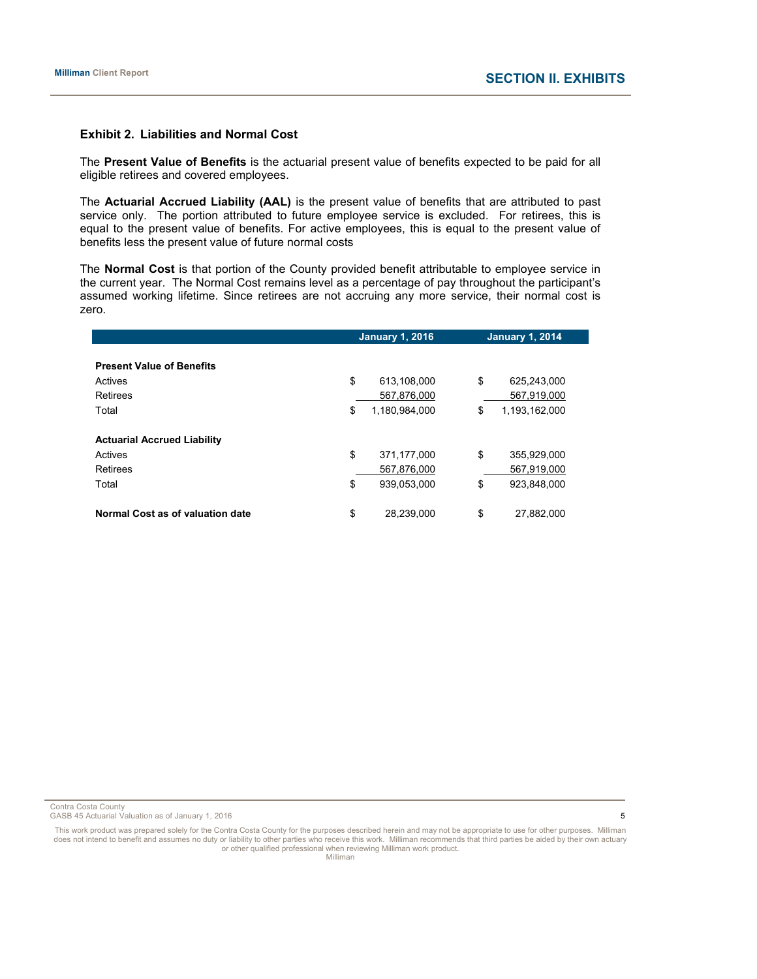#### **Exhibit 2. Liabilities and Normal Cost**

The **Present Value of Benefits** is the actuarial present value of benefits expected to be paid for all eligible retirees and covered employees.

The **Actuarial Accrued Liability (AAL)** is the present value of benefits that are attributed to past service only. The portion attributed to future employee service is excluded. For retirees, this is equal to the present value of benefits. For active employees, this is equal to the present value of benefits less the present value of future normal costs

The **Normal Cost** is that portion of the County provided benefit attributable to employee service in the current year. The Normal Cost remains level as a percentage of pay throughout the participant's assumed working lifetime. Since retirees are not accruing any more service, their normal cost is zero.

|                                    | <b>January 1, 2016</b> |               | <b>January 1, 2014</b> |               |  |
|------------------------------------|------------------------|---------------|------------------------|---------------|--|
|                                    |                        |               |                        |               |  |
| <b>Present Value of Benefits</b>   |                        |               |                        |               |  |
| Actives                            | \$                     | 613.108.000   | \$                     | 625,243,000   |  |
| Retirees                           |                        | 567,876,000   |                        | 567,919,000   |  |
| Total                              | \$                     | 1,180,984,000 | \$                     | 1,193,162,000 |  |
|                                    |                        |               |                        |               |  |
| <b>Actuarial Accrued Liability</b> |                        |               |                        |               |  |
| Actives                            | \$                     | 371,177,000   | \$                     | 355,929,000   |  |
| Retirees                           |                        | 567.876.000   |                        | 567.919.000   |  |
| Total                              | \$                     | 939.053.000   | \$                     | 923.848.000   |  |
|                                    |                        |               |                        |               |  |
| Normal Cost as of valuation date   | \$                     | 28.239.000    | \$                     | 27,882,000    |  |

Contra Costa County

GASB 45 Actuarial Valuation as of January 1, 2016 5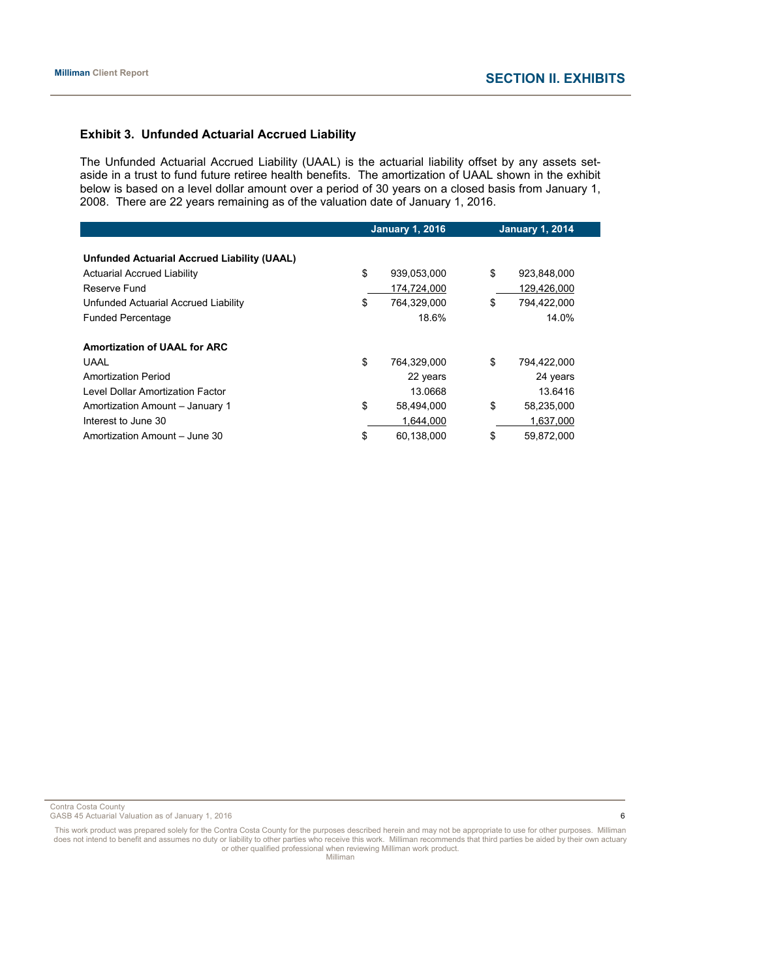# **Exhibit 3. Unfunded Actuarial Accrued Liability**

The Unfunded Actuarial Accrued Liability (UAAL) is the actuarial liability offset by any assets setaside in a trust to fund future retiree health benefits. The amortization of UAAL shown in the exhibit below is based on a level dollar amount over a period of 30 years on a closed basis from January 1, 2008. There are 22 years remaining as of the valuation date of January 1, 2016.

|                                                    | <b>January 1, 2016</b> |             | <b>January 1, 2014</b> |
|----------------------------------------------------|------------------------|-------------|------------------------|
| <b>Unfunded Actuarial Accrued Liability (UAAL)</b> |                        |             |                        |
| <b>Actuarial Accrued Liability</b>                 | \$                     | 939,053,000 | \$<br>923,848,000      |
| Reserve Fund                                       |                        | 174.724.000 | 129.426.000            |
| Unfunded Actuarial Accrued Liability               | \$                     | 764,329,000 | \$<br>794,422,000      |
| <b>Funded Percentage</b>                           |                        | 18.6%       | 14.0%                  |
| <b>Amortization of UAAL for ARC</b>                |                        |             |                        |
| UAAL                                               | \$                     | 764,329,000 | \$<br>794,422,000      |
| <b>Amortization Period</b>                         |                        | 22 years    | 24 years               |
| Level Dollar Amortization Factor                   |                        | 13.0668     | 13.6416                |
| Amortization Amount - January 1                    | \$                     | 58,494,000  | \$<br>58,235,000       |
| Interest to June 30                                |                        | 1,644,000   | 1,637,000              |
| Amortization Amount - June 30                      | \$                     | 60,138,000  | \$<br>59,872,000       |

Contra Costa County

GASB 45 Actuarial Valuation as of January 1, 2016 6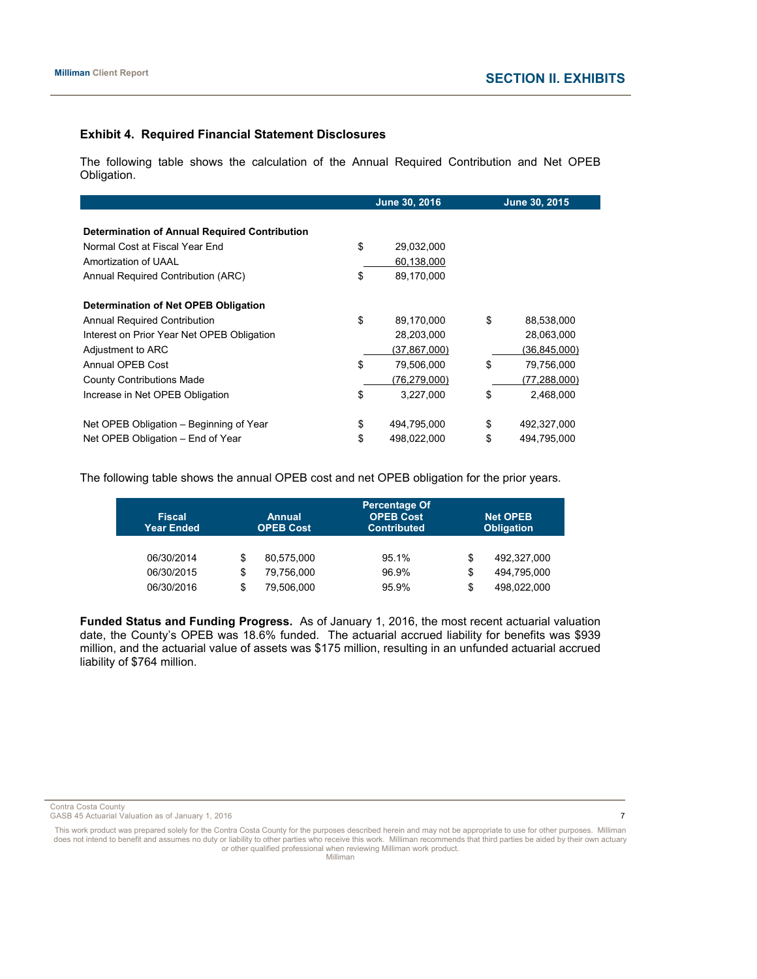# **Exhibit 4. Required Financial Statement Disclosures**

The following table shows the calculation of the Annual Required Contribution and Net OPEB Obligation.

|                                                      | June 30, 2016     | June 30, 2015 |                |  |
|------------------------------------------------------|-------------------|---------------|----------------|--|
|                                                      |                   |               |                |  |
| <b>Determination of Annual Required Contribution</b> |                   |               |                |  |
| Normal Cost at Fiscal Year End                       | \$<br>29,032,000  |               |                |  |
| Amortization of UAAL                                 | 60,138,000        |               |                |  |
| Annual Required Contribution (ARC)                   | \$<br>89,170,000  |               |                |  |
| Determination of Net OPEB Obligation                 |                   |               |                |  |
| <b>Annual Required Contribution</b>                  | \$<br>89,170,000  | \$            | 88,538,000     |  |
| Interest on Prior Year Net OPEB Obligation           | 28,203,000        |               | 28,063,000     |  |
| Adjustment to ARC                                    | (37,867,000)      |               | (36,845,000)   |  |
| Annual OPEB Cost                                     | \$<br>79,506,000  | \$            | 79,756,000     |  |
| <b>County Contributions Made</b>                     | (76,279,000)      |               | (77, 288, 000) |  |
| Increase in Net OPEB Obligation                      | \$<br>3,227,000   | \$            | 2,468,000      |  |
| Net OPEB Obligation – Beginning of Year              | \$<br>494,795,000 | \$            | 492,327,000    |  |
| Net OPEB Obligation - End of Year                    | \$<br>498,022,000 | \$            | 494,795,000    |  |

The following table shows the annual OPEB cost and net OPEB obligation for the prior years.

| <b>Fiscal</b><br><b>Year Ended</b> | <b>Annual</b><br><b>OPEB Cost</b> |            | <b>Percentage Of</b><br><b>OPEB Cost</b><br><b>Contributed</b> | <b>Net OPEB</b><br><b>Obligation</b> |             |  |
|------------------------------------|-----------------------------------|------------|----------------------------------------------------------------|--------------------------------------|-------------|--|
| 06/30/2014                         | \$                                | 80.575.000 | 95.1%                                                          | \$                                   | 492.327.000 |  |
| 06/30/2015                         | \$                                | 79,756,000 | 96.9%                                                          | \$                                   | 494.795.000 |  |
| 06/30/2016                         | \$                                | 79.506.000 | 95.9%                                                          | \$                                   | 498.022.000 |  |

**Funded Status and Funding Progress.** As of January 1, 2016, the most recent actuarial valuation date, the County's OPEB was 18.6% funded. The actuarial accrued liability for benefits was \$939 million, and the actuarial value of assets was \$175 million, resulting in an unfunded actuarial accrued liability of \$764 million.

Contra Costa County

GASB 45 Actuarial Valuation as of January 1, 2016 7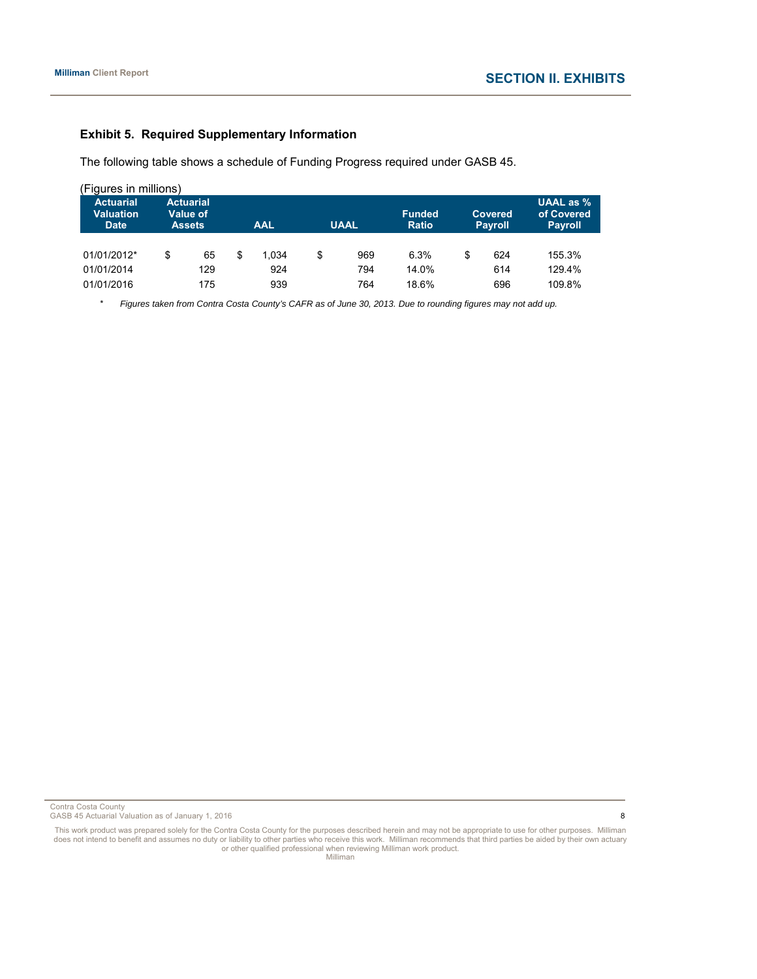# **Exhibit 5. Required Supplementary Information**

The following table shows a schedule of Funding Progress required under GASB 45.

| (Figures in millions)                                                                                |    |     |                           |       |    |                               |                                  |    |                                                    |        |  |
|------------------------------------------------------------------------------------------------------|----|-----|---------------------------|-------|----|-------------------------------|----------------------------------|----|----------------------------------------------------|--------|--|
| <b>Actuarial</b><br><b>Actuarial</b><br><b>Valuation</b><br>Value of<br><b>Date</b><br><b>Assets</b> |    |     | <b>UAAL</b><br><b>AAL</b> |       |    | <b>Funded</b><br><b>Ratio</b> | <b>Covered</b><br><b>Payroll</b> |    | <b>UAAL</b> as $%$<br>of Covered<br><b>Payroll</b> |        |  |
| 01/01/2012*                                                                                          | \$ | 65  | \$                        | 1.034 | \$ | 969                           | 6.3%                             | \$ | 624                                                | 155.3% |  |
| 01/01/2014                                                                                           |    | 129 |                           | 924   |    | 794                           | 14.0%                            |    | 614                                                | 129.4% |  |
| 01/01/2016                                                                                           |    | 175 |                           | 939   |    | 764                           | 18.6%                            |    | 696                                                | 109.8% |  |

\* *Figures taken from Contra Costa County's CAFR as of June 30, 2013. Due to rounding figures may not add up.* 

Contra Costa County

GASB 45 Actuarial Valuation as of January 1, 2016 8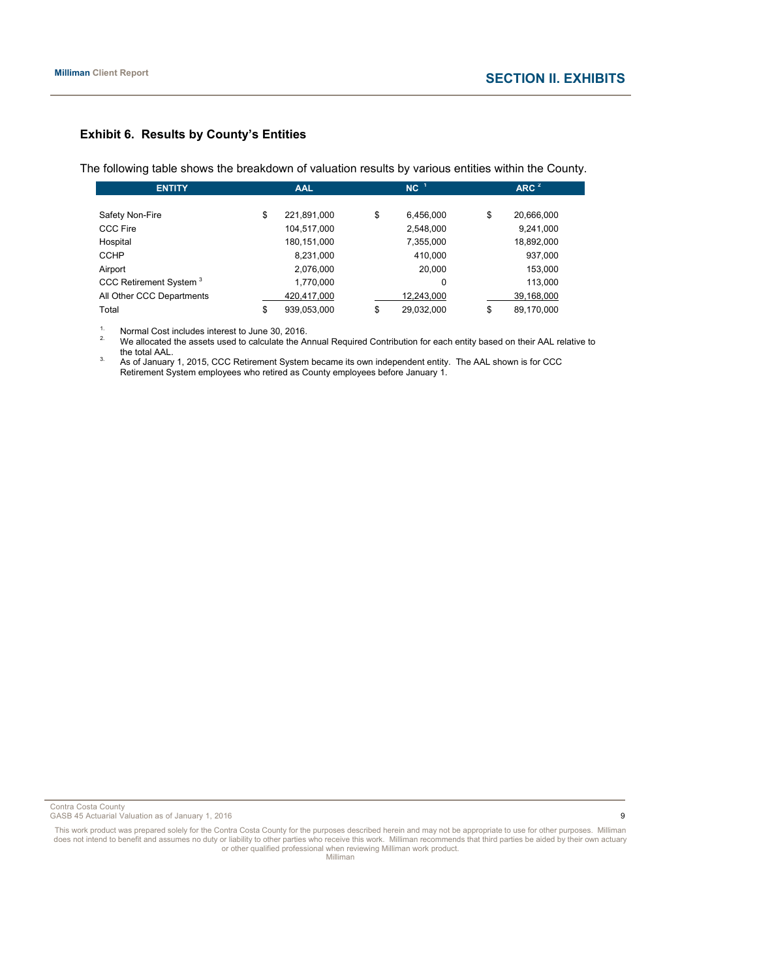# **Exhibit 6. Results by County's Entities**

The following table shows the breakdown of valuation results by various entities within the County.

| <b>ENTITY</b>                      |    | <b>AAL</b>  |    | $NC-1$     | ARC <sup>2</sup> |  |  |
|------------------------------------|----|-------------|----|------------|------------------|--|--|
|                                    |    |             |    |            |                  |  |  |
| Safety Non-Fire                    | \$ | 221,891,000 | \$ | 6,456,000  | \$<br>20,666,000 |  |  |
| <b>CCC Fire</b>                    |    | 104,517,000 |    | 2,548,000  | 9,241,000        |  |  |
| Hospital                           |    | 180,151,000 |    | 7,355,000  | 18,892,000       |  |  |
| <b>CCHP</b>                        |    | 8,231,000   |    | 410.000    | 937,000          |  |  |
| Airport                            |    | 2,076,000   |    | 20,000     | 153,000          |  |  |
| CCC Retirement System <sup>3</sup> |    | 1,770,000   |    | 0          | 113,000          |  |  |
| All Other CCC Departments          |    | 420,417,000 |    | 12,243,000 | 39,168,000       |  |  |
| Total                              | \$ | 939,053,000 | \$ | 29,032,000 | \$<br>89,170,000 |  |  |

1. Normal Cost includes interest to June 30, 2016.<br><sup>2</sup>. We allocated the assets used to calculate the Annual Required Contribution for each entity based on their AAL relative to<br>the total AAL.

1. The total AAL.<br><sup>3.</sup> As of January 1, 2015, CCC Retirement System became its own independent entity. The AAL shown is for CCC Retirement System employees who retired as County employees before January 1.

Contra Costa County

GASB 45 Actuarial Valuation as of January 1, 2016 **9**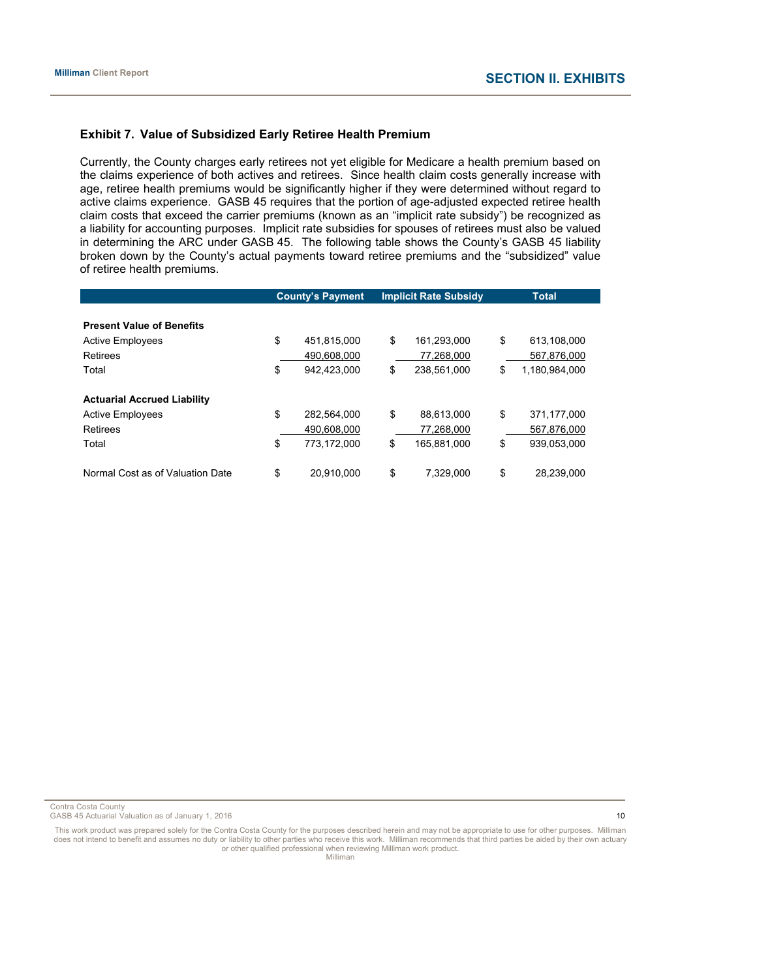### **Exhibit 7. Value of Subsidized Early Retiree Health Premium**

Currently, the County charges early retirees not yet eligible for Medicare a health premium based on the claims experience of both actives and retirees. Since health claim costs generally increase with age, retiree health premiums would be significantly higher if they were determined without regard to active claims experience. GASB 45 requires that the portion of age-adjusted expected retiree health claim costs that exceed the carrier premiums (known as an "implicit rate subsidy") be recognized as a liability for accounting purposes. Implicit rate subsidies for spouses of retirees must also be valued in determining the ARC under GASB 45. The following table shows the County's GASB 45 liability broken down by the County's actual payments toward retiree premiums and the "subsidized" value of retiree health premiums.

| <b>County's Payment</b> |             | <b>Implicit Rate Subsidy</b> |             | <b>Total</b>        |
|-------------------------|-------------|------------------------------|-------------|---------------------|
|                         |             |                              |             |                     |
|                         |             |                              |             |                     |
| \$                      | 451.815.000 | \$                           | 161.293.000 | \$<br>613.108.000   |
|                         | 490,608,000 |                              | 77,268,000  | 567,876,000         |
| \$                      | 942.423.000 | \$                           | 238.561.000 | \$<br>1,180,984,000 |
|                         |             |                              |             |                     |
|                         |             |                              |             |                     |
| \$                      | 282.564.000 | \$                           | 88.613.000  | \$<br>371.177.000   |
|                         | 490.608.000 |                              | 77.268.000  | 567,876,000         |
| \$                      | 773.172.000 | \$                           | 165,881,000 | \$<br>939,053,000   |
|                         |             |                              |             |                     |
| \$                      | 20.910.000  | \$                           | 7.329.000   | \$<br>28.239.000    |
|                         |             |                              |             |                     |

Contra Costa County

GASB 45 Actuarial Valuation as of January 1, 2016 10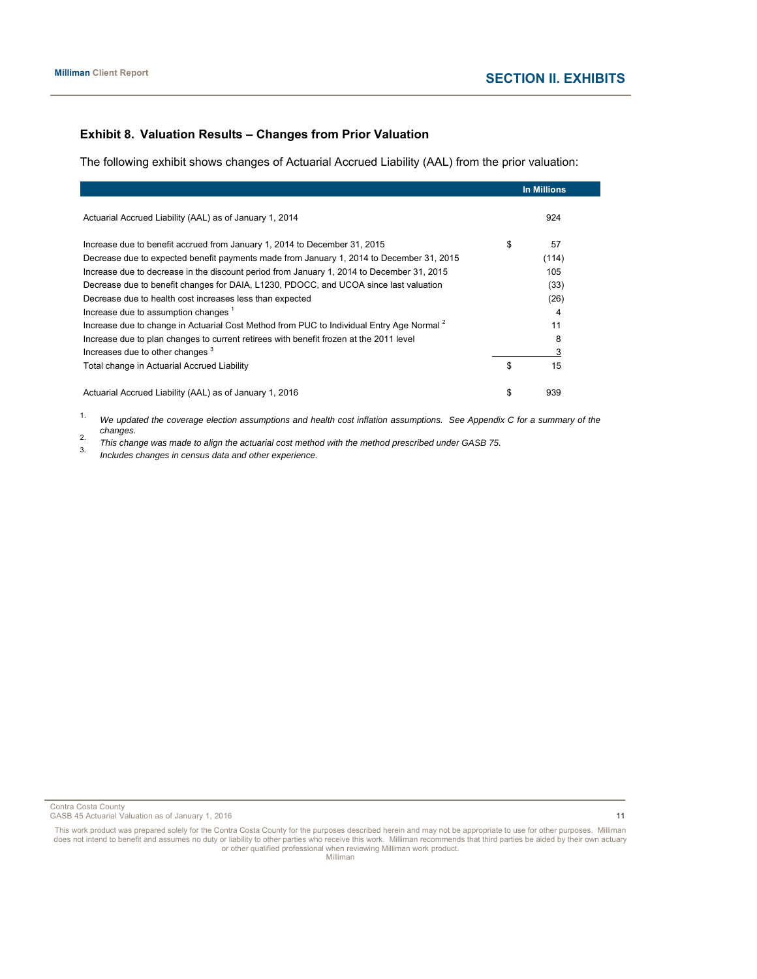# **Exhibit 8. Valuation Results – Changes from Prior Valuation**

The following exhibit shows changes of Actuarial Accrued Liability (AAL) from the prior valuation:

|                                                                                                      | <b>In Millions</b> |
|------------------------------------------------------------------------------------------------------|--------------------|
| Actuarial Accrued Liability (AAL) as of January 1, 2014                                              | 924                |
| Increase due to benefit accrued from January 1, 2014 to December 31, 2015                            | \$<br>57           |
| Decrease due to expected benefit payments made from January 1, 2014 to December 31, 2015             | (114)              |
| Increase due to decrease in the discount period from January 1, 2014 to December 31, 2015            | 105                |
| Decrease due to benefit changes for DAIA, L1230, PDOCC, and UCOA since last valuation                | (33)               |
| Decrease due to health cost increases less than expected                                             | (26)               |
| Increase due to assumption changes <sup>1</sup>                                                      | 4                  |
| Increase due to change in Actuarial Cost Method from PUC to Individual Entry Age Normal <sup>2</sup> | 11                 |
| Increase due to plan changes to current retirees with benefit frozen at the 2011 level               | 8                  |
| Increases due to other changes <sup>3</sup>                                                          |                    |
| Total change in Actuarial Accrued Liability                                                          | \$<br>15           |
| Actuarial Accrued Liability (AAL) as of January 1, 2016                                              | \$<br>939          |

1. *We updated the coverage election assumptions and health cost inflation assumptions. See Appendix C for a summary of the* 

2. This change was made to align the actuarial cost method with the method prescribed under GASB 75.<br>3. Includes changes in census data and other experience.

Contra Costa County

GASB 45 Actuarial Valuation as of January 1, 2016 11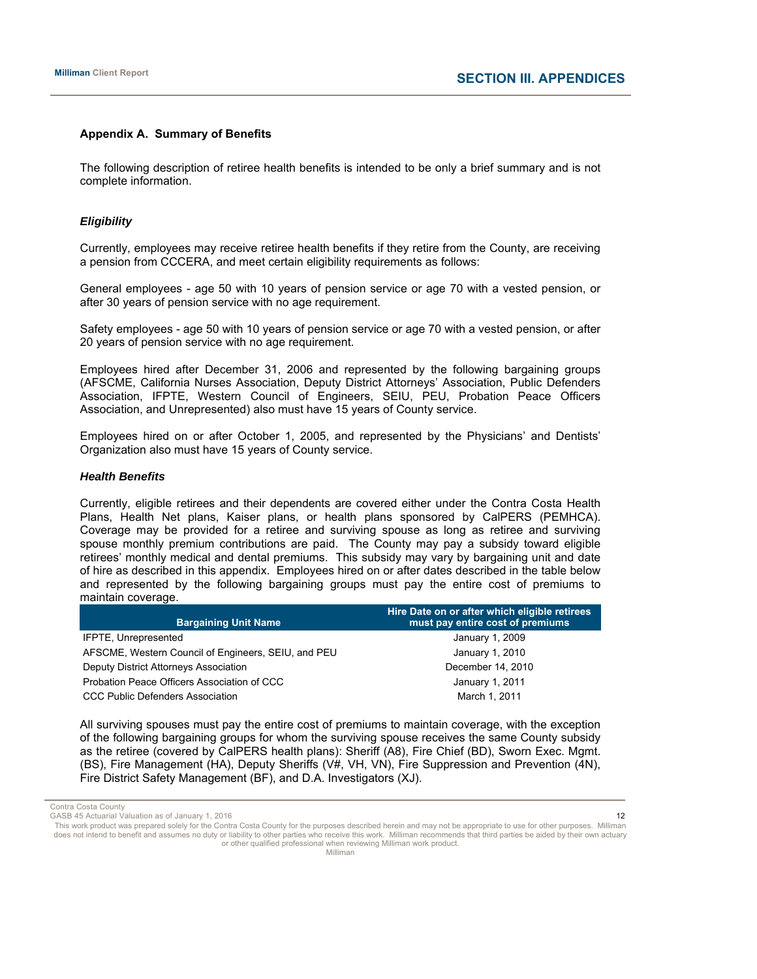#### **Appendix A. Summary of Benefits**

The following description of retiree health benefits is intended to be only a brief summary and is not complete information.

#### *Eligibility*

Currently, employees may receive retiree health benefits if they retire from the County, are receiving a pension from CCCERA, and meet certain eligibility requirements as follows:

General employees - age 50 with 10 years of pension service or age 70 with a vested pension, or after 30 years of pension service with no age requirement.

Safety employees - age 50 with 10 years of pension service or age 70 with a vested pension, or after 20 years of pension service with no age requirement.

Employees hired after December 31, 2006 and represented by the following bargaining groups (AFSCME, California Nurses Association, Deputy District Attorneys' Association, Public Defenders Association, IFPTE, Western Council of Engineers, SEIU, PEU, Probation Peace Officers Association, and Unrepresented) also must have 15 years of County service.

Employees hired on or after October 1, 2005, and represented by the Physicians' and Dentists' Organization also must have 15 years of County service.

## *Health Benefits*

Currently, eligible retirees and their dependents are covered either under the Contra Costa Health Plans, Health Net plans, Kaiser plans, or health plans sponsored by CalPERS (PEMHCA). Coverage may be provided for a retiree and surviving spouse as long as retiree and surviving spouse monthly premium contributions are paid. The County may pay a subsidy toward eligible retirees' monthly medical and dental premiums. This subsidy may vary by bargaining unit and date of hire as described in this appendix. Employees hired on or after dates described in the table below and represented by the following bargaining groups must pay the entire cost of premiums to maintain coverage.

| <b>Bargaining Unit Name</b>                         | Hire Date on or after which eligible retirees<br>must pay entire cost of premiums |
|-----------------------------------------------------|-----------------------------------------------------------------------------------|
| IFPTE, Unrepresented                                | January 1, 2009                                                                   |
| AFSCME, Western Council of Engineers, SEIU, and PEU | January 1, 2010                                                                   |
| Deputy District Attorneys Association               | December 14, 2010                                                                 |
| Probation Peace Officers Association of CCC         | January 1, 2011                                                                   |
| <b>CCC Public Defenders Association</b>             | March 1, 2011                                                                     |

All surviving spouses must pay the entire cost of premiums to maintain coverage, with the exception of the following bargaining groups for whom the surviving spouse receives the same County subsidy as the retiree (covered by CalPERS health plans): Sheriff (A8), Fire Chief (BD), Sworn Exec. Mgmt. (BS), Fire Management (HA), Deputy Sheriffs (V#, VH, VN), Fire Suppression and Prevention (4N), Fire District Safety Management (BF), and D.A. Investigators (XJ).

Contra Costa County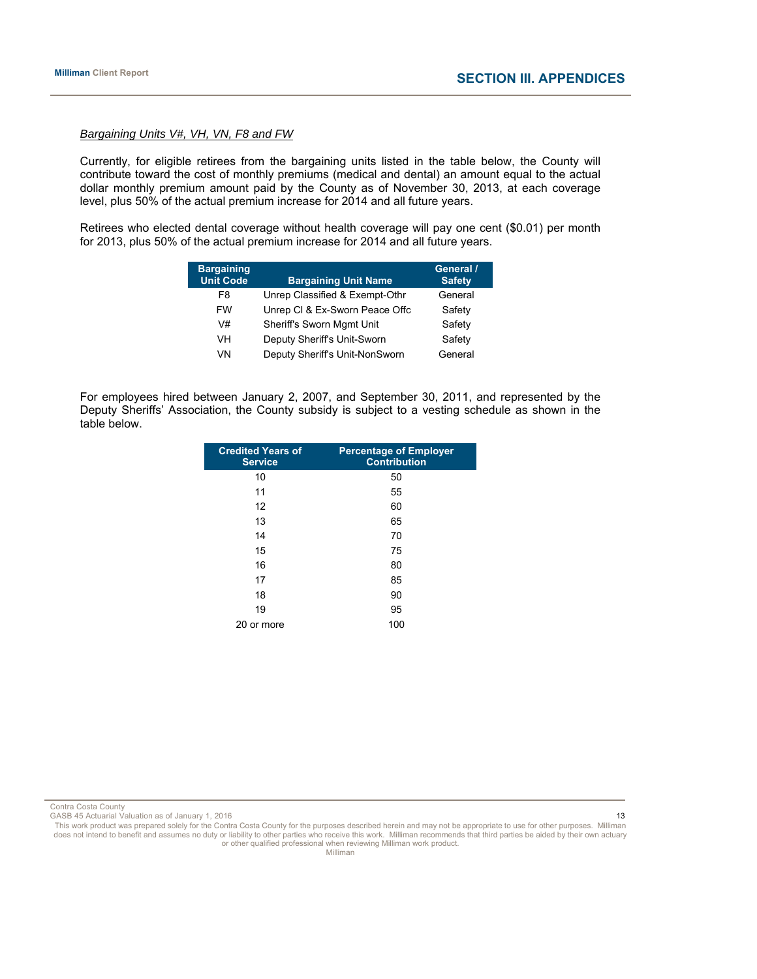### *Bargaining Units V#, VH, VN, F8 and FW*

Currently, for eligible retirees from the bargaining units listed in the table below, the County will contribute toward the cost of monthly premiums (medical and dental) an amount equal to the actual dollar monthly premium amount paid by the County as of November 30, 2013, at each coverage level, plus 50% of the actual premium increase for 2014 and all future years.

Retirees who elected dental coverage without health coverage will pay one cent (\$0.01) per month for 2013, plus 50% of the actual premium increase for 2014 and all future years.

| <b>Bargaining</b><br><b>Unit Code</b> | <b>Bargaining Unit Name</b>    | General /<br><b>Safety</b> |
|---------------------------------------|--------------------------------|----------------------------|
| F8                                    | Unrep Classified & Exempt-Othr | General                    |
| <b>FW</b>                             | Unrep CI & Ex-Sworn Peace Offc | Safety                     |
| V#                                    | Sheriff's Sworn Mgmt Unit      | Safety                     |
| VH                                    | Deputy Sheriff's Unit-Sworn    | Safety                     |
| VN                                    | Deputy Sheriff's Unit-NonSworn | General                    |

For employees hired between January 2, 2007, and September 30, 2011, and represented by the Deputy Sheriffs' Association, the County subsidy is subject to a vesting schedule as shown in the table below.

| <b>Credited Years of</b><br><b>Service</b> | <b>Percentage of Employer</b><br><b>Contribution</b> |
|--------------------------------------------|------------------------------------------------------|
| 10                                         | 50                                                   |
| 11                                         | 55                                                   |
| 12                                         | 60                                                   |
| 13                                         | 65                                                   |
| 14                                         | 70                                                   |
| 15                                         | 75                                                   |
| 16                                         | 80                                                   |
| 17                                         | 85                                                   |
| 18                                         | 90                                                   |
| 19                                         | 95                                                   |
| 20 or more                                 | 100                                                  |

Contra Costa County

GASB 45 Actuarial Valuation as of January 1, 2016 13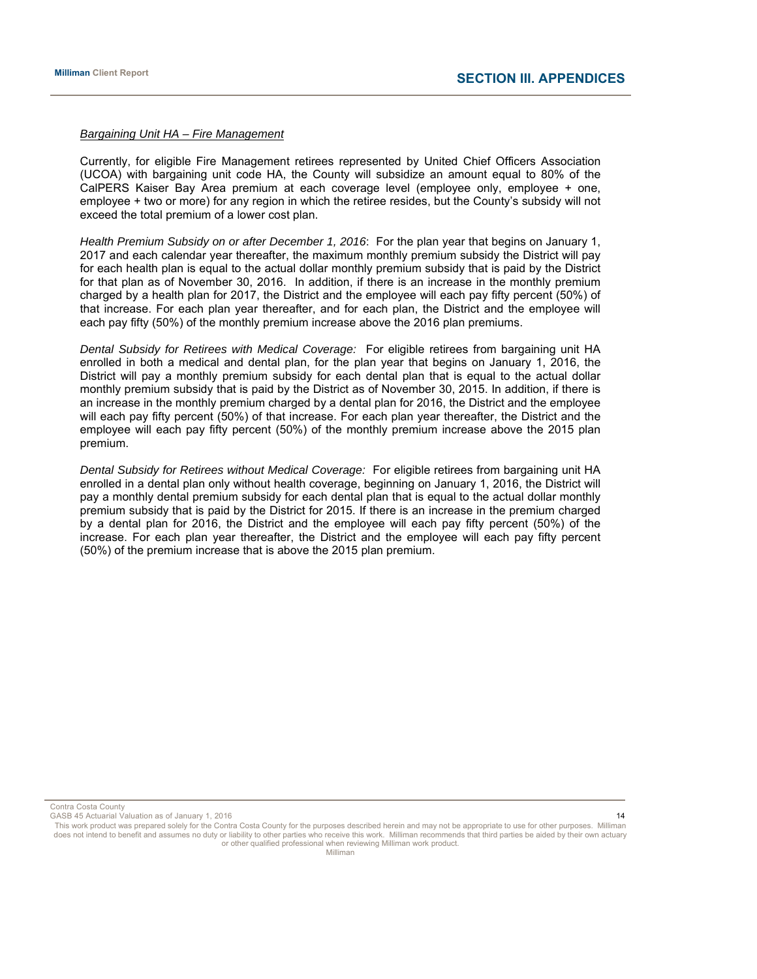#### *Bargaining Unit HA – Fire Management*

Currently, for eligible Fire Management retirees represented by United Chief Officers Association (UCOA) with bargaining unit code HA, the County will subsidize an amount equal to 80% of the CalPERS Kaiser Bay Area premium at each coverage level (employee only, employee + one, employee + two or more) for any region in which the retiree resides, but the County's subsidy will not exceed the total premium of a lower cost plan.

*Health Premium Subsidy on or after December 1, 2016*: For the plan year that begins on January 1, 2017 and each calendar year thereafter, the maximum monthly premium subsidy the District will pay for each health plan is equal to the actual dollar monthly premium subsidy that is paid by the District for that plan as of November 30, 2016. In addition, if there is an increase in the monthly premium charged by a health plan for 2017, the District and the employee will each pay fifty percent (50%) of that increase. For each plan year thereafter, and for each plan, the District and the employee will each pay fifty (50%) of the monthly premium increase above the 2016 plan premiums.

*Dental Subsidy for Retirees with Medical Coverage:* For eligible retirees from bargaining unit HA enrolled in both a medical and dental plan, for the plan year that begins on January 1, 2016, the District will pay a monthly premium subsidy for each dental plan that is equal to the actual dollar monthly premium subsidy that is paid by the District as of November 30, 2015. In addition, if there is an increase in the monthly premium charged by a dental plan for 2016, the District and the employee will each pay fifty percent (50%) of that increase. For each plan year thereafter, the District and the employee will each pay fifty percent (50%) of the monthly premium increase above the 2015 plan premium.

*Dental Subsidy for Retirees without Medical Coverage:* For eligible retirees from bargaining unit HA enrolled in a dental plan only without health coverage, beginning on January 1, 2016, the District will pay a monthly dental premium subsidy for each dental plan that is equal to the actual dollar monthly premium subsidy that is paid by the District for 2015. If there is an increase in the premium charged by a dental plan for 2016, the District and the employee will each pay fifty percent (50%) of the increase. For each plan year thereafter, the District and the employee will each pay fifty percent (50%) of the premium increase that is above the 2015 plan premium.

Contra Costa County

GASB 45 Actuarial Valuation as of January 1, 2016 14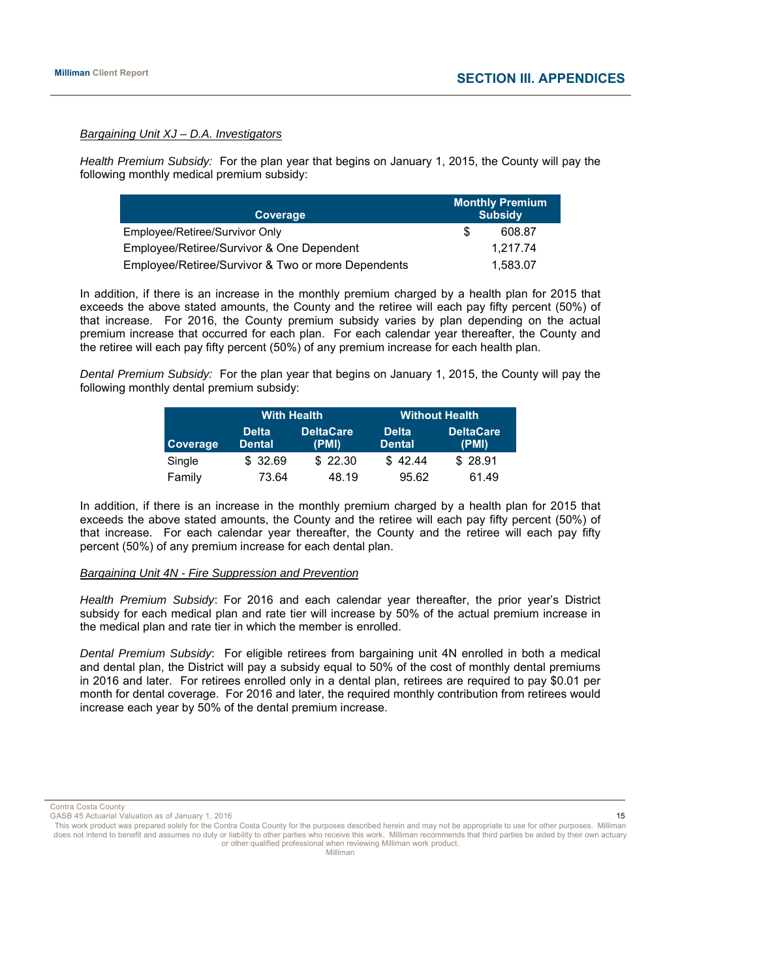#### *Bargaining Unit XJ – D.A. Investigators*

*Health Premium Subsidy:* For the plan year that begins on January 1, 2015, the County will pay the following monthly medical premium subsidy:

| Coverage                                           | <b>Monthly Premium</b><br><b>Subsidy</b> |
|----------------------------------------------------|------------------------------------------|
| Employee/Retiree/Survivor Only                     | 608.87                                   |
| Employee/Retiree/Survivor & One Dependent          | 1.217.74                                 |
| Employee/Retiree/Survivor & Two or more Dependents | 1.583.07                                 |

In addition, if there is an increase in the monthly premium charged by a health plan for 2015 that exceeds the above stated amounts, the County and the retiree will each pay fifty percent (50%) of that increase. For 2016, the County premium subsidy varies by plan depending on the actual premium increase that occurred for each plan. For each calendar year thereafter, the County and the retiree will each pay fifty percent (50%) of any premium increase for each health plan.

*Dental Premium Subsidy:* For the plan year that begins on January 1, 2015, the County will pay the following monthly dental premium subsidy:

|                 | <b>With Health</b>            | <b>Without Health</b>     |                               |                           |  |
|-----------------|-------------------------------|---------------------------|-------------------------------|---------------------------|--|
| <b>Coverage</b> | <b>Delta</b><br><b>Dental</b> | <b>DeltaCare</b><br>(PMI) | <b>Delta</b><br><b>Dental</b> | <b>DeltaCare</b><br>(PMI) |  |
| Single          | \$ 32.69                      | \$22.30                   | \$42.44                       | \$28.91                   |  |
| Family          | 73.64                         | 48.19                     | 95.62                         | 61.49                     |  |

In addition, if there is an increase in the monthly premium charged by a health plan for 2015 that exceeds the above stated amounts, the County and the retiree will each pay fifty percent (50%) of that increase. For each calendar year thereafter, the County and the retiree will each pay fifty percent (50%) of any premium increase for each dental plan.

#### *Bargaining Unit 4N - Fire Suppression and Prevention*

*Health Premium Subsidy*: For 2016 and each calendar year thereafter, the prior year's District subsidy for each medical plan and rate tier will increase by 50% of the actual premium increase in the medical plan and rate tier in which the member is enrolled.

*Dental Premium Subsidy*: For eligible retirees from bargaining unit 4N enrolled in both a medical and dental plan, the District will pay a subsidy equal to 50% of the cost of monthly dental premiums in 2016 and later. For retirees enrolled only in a dental plan, retirees are required to pay \$0.01 per month for dental coverage. For 2016 and later, the required monthly contribution from retirees would increase each year by 50% of the dental premium increase.

Contra Costa County

GASB 45 Actuarial Valuation as of January 1, 2016 15 Actual 2016 15 Actual 2016 15 Actuarial Valuation as of January 1, 2016 15 Actuarial Valuation as of January 1, 2016 15 Actual 2016 15 Actuarial Valuation as of January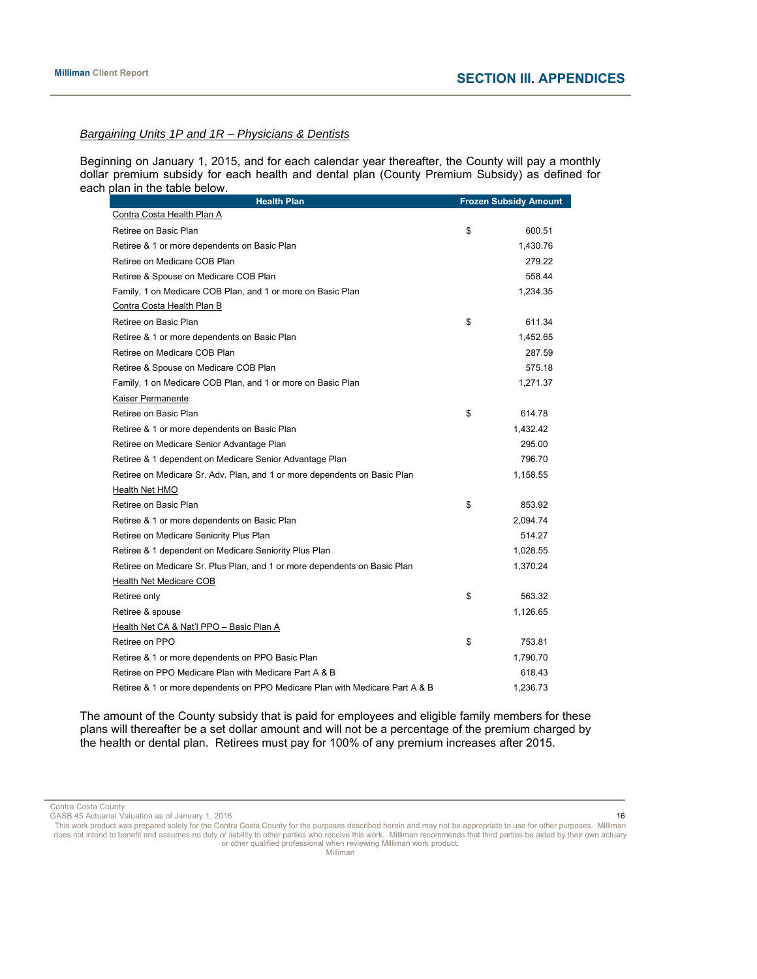#### *Bargaining Units 1P and 1R – Physicians & Dentists*

Beginning on January 1, 2015, and for each calendar year thereafter, the County will pay a monthly dollar premium subsidy for each health and dental plan (County Premium Subsidy) as defined for each plan in the table below.

| <b>Health Plan</b>                                                           | <b>Frozen Subsidy Amount</b> |
|------------------------------------------------------------------------------|------------------------------|
| Contra Costa Health Plan A                                                   |                              |
| Retiree on Basic Plan                                                        | \$<br>600.51                 |
| Retiree & 1 or more dependents on Basic Plan                                 | 1,430.76                     |
| Retiree on Medicare COB Plan                                                 | 279.22                       |
| Retiree & Spouse on Medicare COB Plan                                        | 558.44                       |
| Family, 1 on Medicare COB Plan, and 1 or more on Basic Plan                  | 1,234.35                     |
| Contra Costa Health Plan B                                                   |                              |
| Retiree on Basic Plan                                                        | \$<br>611.34                 |
| Retiree & 1 or more dependents on Basic Plan                                 | 1,452.65                     |
| Retiree on Medicare COB Plan                                                 | 287.59                       |
| Retiree & Spouse on Medicare COB Plan                                        | 575.18                       |
| Family, 1 on Medicare COB Plan, and 1 or more on Basic Plan                  | 1,271.37                     |
| Kaiser Permanente                                                            |                              |
| Retiree on Basic Plan                                                        | \$<br>614.78                 |
| Retiree & 1 or more dependents on Basic Plan                                 | 1,432.42                     |
| Retiree on Medicare Senior Advantage Plan                                    | 295.00                       |
| Retiree & 1 dependent on Medicare Senior Advantage Plan                      | 796.70                       |
| Retiree on Medicare Sr. Adv. Plan, and 1 or more dependents on Basic Plan    | 1,158.55                     |
| Health Net HMO                                                               |                              |
| Retiree on Basic Plan                                                        | \$<br>853.92                 |
| Retiree & 1 or more dependents on Basic Plan                                 | 2,094.74                     |
| Retiree on Medicare Seniority Plus Plan                                      | 514.27                       |
| Retiree & 1 dependent on Medicare Seniority Plus Plan                        | 1,028.55                     |
| Retiree on Medicare Sr. Plus Plan, and 1 or more dependents on Basic Plan    | 1,370.24                     |
| Health Net Medicare COB                                                      |                              |
| Retiree only                                                                 | \$<br>563.32                 |
| Retiree & spouse                                                             | 1,126.65                     |
| Health Net CA & Nat'l PPO - Basic Plan A                                     |                              |
| Retiree on PPO                                                               | \$<br>753.81                 |
| Retiree & 1 or more dependents on PPO Basic Plan                             | 1,790.70                     |
| Retiree on PPO Medicare Plan with Medicare Part A & B                        | 618.43                       |
| Retiree & 1 or more dependents on PPO Medicare Plan with Medicare Part A & B | 1,236.73                     |

The amount of the County subsidy that is paid for employees and eligible family members for these plans will thereafter be a set dollar amount and will not be a percentage of the premium charged by the health or dental plan. Retirees must pay for 100% of any premium increases after 2015.

Contra Costa County

GASB 45 Actuarial Valuation as of January 1, 2016 16 and 16 and 16 and 16 and 16 and 16 and 16 and 16 and 16 and 16 and 16 and 16 and 16 and 16 and 16 and 16 and 16 and 16 and 16 and 16 and 16 and 16 and 16 and 16 and 16 a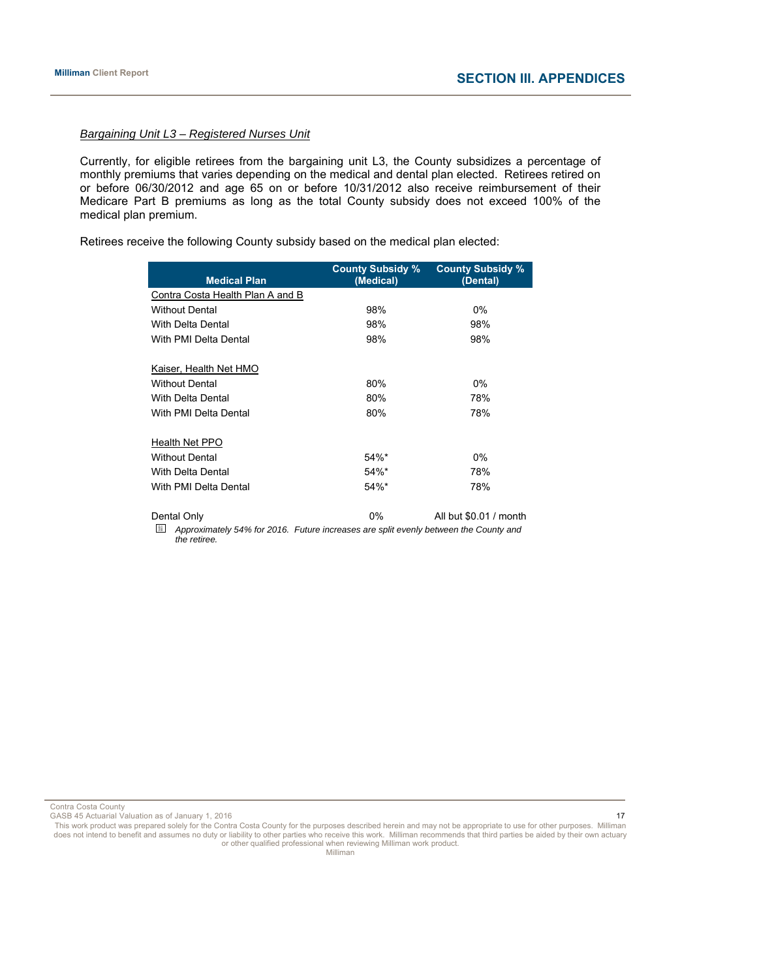#### *Bargaining Unit L3 – Registered Nurses Unit*

Currently, for eligible retirees from the bargaining unit L3, the County subsidizes a percentage of monthly premiums that varies depending on the medical and dental plan elected. Retirees retired on or before 06/30/2012 and age 65 on or before 10/31/2012 also receive reimbursement of their Medicare Part B premiums as long as the total County subsidy does not exceed 100% of the medical plan premium.

Retirees receive the following County subsidy based on the medical plan elected:

| <b>Medical Plan</b>                                                                  | <b>County Subsidy %</b><br>(Medical) | <b>County Subsidy %</b><br>(Dental) |
|--------------------------------------------------------------------------------------|--------------------------------------|-------------------------------------|
| Contra Costa Health Plan A and B                                                     |                                      |                                     |
| <b>Without Dental</b>                                                                | 98%                                  | $0\%$                               |
| <b>With Delta Dental</b>                                                             | 98%                                  | 98%                                 |
| With PMI Delta Dental                                                                | 98%                                  | 98%                                 |
| Kaiser, Health Net HMO                                                               |                                      |                                     |
| <b>Without Dental</b>                                                                | 80%                                  | 0%                                  |
| <b>With Delta Dental</b>                                                             | 80%                                  | 78%                                 |
| With PMI Delta Dental                                                                | 80%                                  | 78%                                 |
| Health Net PPO                                                                       |                                      |                                     |
| <b>Without Dental</b>                                                                | 54%*                                 | 0%                                  |
| <b>With Delta Dental</b>                                                             | $54\%$ *                             | 78%                                 |
| With PMI Delta Dental                                                                | 54%*                                 | 78%                                 |
| Dental Only<br>腳                                                                     | 0%                                   | All but \$0.01 / month              |
| Approximately 54% for 2016. Future increases are split evenly between the County and |                                      |                                     |

*the retiree.* 

Contra Costa County

GASB 45 Actuarial Valuation as of January 1, 2016 17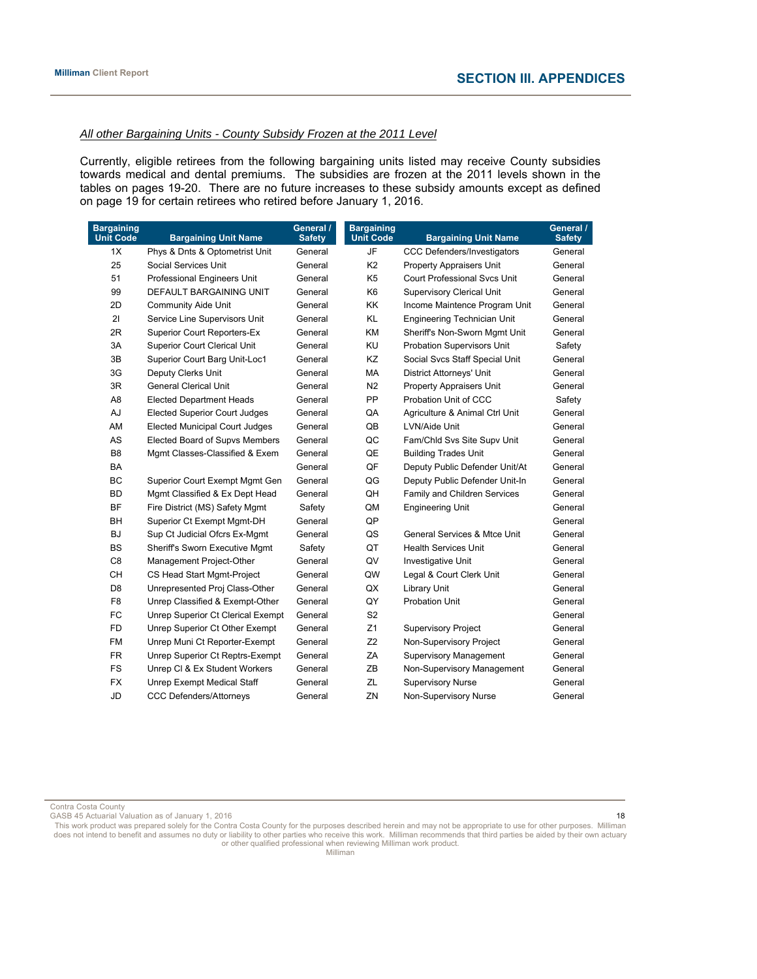### *All other Bargaining Units - County Subsidy Frozen at the 2011 Level*

Currently, eligible retirees from the following bargaining units listed may receive County subsidies towards medical and dental premiums. The subsidies are frozen at the 2011 levels shown in the tables on pages 19-20. There are no future increases to these subsidy amounts except as defined on page 19 for certain retirees who retired before January 1, 2016.

| <b>Bargaining</b><br><b>Unit Code</b> | <b>Bargaining Unit Name</b>           | General /<br><b>Safety</b> | <b>Bargaining</b><br><b>Unit Code</b> | <b>Bargaining Unit Name</b>             | General /<br><b>Safety</b> |
|---------------------------------------|---------------------------------------|----------------------------|---------------------------------------|-----------------------------------------|----------------------------|
| 1X                                    | Phys & Dnts & Optometrist Unit        | General                    | JF                                    | <b>CCC Defenders/Investigators</b>      | General                    |
| 25                                    | Social Services Unit                  | General                    | K <sub>2</sub>                        | <b>Property Appraisers Unit</b>         | General                    |
| 51                                    | Professional Engineers Unit           | General                    | K <sub>5</sub>                        | <b>Court Professional Sycs Unit</b>     | General                    |
| 99                                    | DEFAULT BARGAINING UNIT               | General                    | K <sub>6</sub>                        | <b>Supervisory Clerical Unit</b>        | General                    |
| 2D                                    | <b>Community Aide Unit</b>            | General                    | KK                                    | Income Maintence Program Unit           | General                    |
| 21                                    | Service Line Supervisors Unit         | General                    | <b>KL</b>                             | <b>Engineering Technician Unit</b>      | General                    |
| 2R                                    | <b>Superior Court Reporters-Ex</b>    | General                    | KM                                    | Sheriff's Non-Sworn Mgmt Unit           | General                    |
| 3A                                    | <b>Superior Court Clerical Unit</b>   | General                    | KU                                    | Probation Supervisors Unit              | Safety                     |
| 3B                                    | Superior Court Barg Unit-Loc1         | General                    | KZ                                    | Social Svcs Staff Special Unit          | General                    |
| 3G                                    | Deputy Clerks Unit                    | General                    | МA                                    | <b>District Attorneys' Unit</b>         | General                    |
| 3R                                    | <b>General Clerical Unit</b>          | General                    | N <sub>2</sub>                        | Property Appraisers Unit                | General                    |
| A <sub>8</sub>                        | <b>Elected Department Heads</b>       | General                    | PP                                    | Probation Unit of CCC                   | Safety                     |
| AJ                                    | <b>Elected Superior Court Judges</b>  | General                    | QA                                    | Agriculture & Animal Ctrl Unit          | General                    |
| AM                                    | <b>Elected Municipal Court Judges</b> | General                    | QB                                    | LVN/Aide Unit                           | General                    |
| AS                                    | Elected Board of Supvs Members        | General                    | QC                                    | Fam/Chld Svs Site Supv Unit             | General                    |
| B <sub>8</sub>                        | Mgmt Classes-Classified & Exem        | General                    | QE                                    | <b>Building Trades Unit</b>             | General                    |
| <b>BA</b>                             |                                       | General                    | QF                                    | Deputy Public Defender Unit/At          | General                    |
| <b>BC</b>                             | Superior Court Exempt Mgmt Gen        | General                    | QG                                    | Deputy Public Defender Unit-In          | General                    |
| <b>BD</b>                             | Mgmt Classified & Ex Dept Head        | General                    | QH                                    | Family and Children Services            | General                    |
| BF                                    | Fire District (MS) Safety Mgmt        | Safety                     | QM                                    | <b>Engineering Unit</b>                 | General                    |
| BH                                    | Superior Ct Exempt Mgmt-DH            | General                    | QP                                    |                                         | General                    |
| <b>BJ</b>                             | Sup Ct Judicial Ofcrs Ex-Mgmt         | General                    | QS                                    | <b>General Services &amp; Mtce Unit</b> | General                    |
| <b>BS</b>                             | Sheriff's Sworn Executive Mgmt        | Safety                     | QT                                    | <b>Health Services Unit</b>             | General                    |
| C <sub>8</sub>                        | Management Project-Other              | General                    | QV                                    | Investigative Unit                      | General                    |
| <b>CH</b>                             | CS Head Start Mgmt-Project            | General                    | QW                                    | Legal & Court Clerk Unit                | General                    |
| D <sub>8</sub>                        | Unrepresented Proj Class-Other        | General                    | QX                                    | Library Unit                            | General                    |
| F <sub>8</sub>                        | Unrep Classified & Exempt-Other       | General                    | QY                                    | <b>Probation Unit</b>                   | General                    |
| FC                                    | Unrep Superior Ct Clerical Exempt     | General                    | S <sub>2</sub>                        |                                         | General                    |
| <b>FD</b>                             | Unrep Superior Ct Other Exempt        | General                    | Z1                                    | <b>Supervisory Project</b>              | General                    |
| <b>FM</b>                             | Unrep Muni Ct Reporter-Exempt         | General                    | Z <sub>2</sub>                        | Non-Supervisory Project                 | General                    |
| <b>FR</b>                             | Unrep Superior Ct Reptrs-Exempt       | General                    | ZA                                    | <b>Supervisory Management</b>           | General                    |
| FS                                    | Unrep CI & Ex Student Workers         | General                    | ZB                                    | Non-Supervisory Management              | General                    |
| <b>FX</b>                             | <b>Unrep Exempt Medical Staff</b>     | General                    | ZL                                    | <b>Supervisory Nurse</b>                | General                    |
| <b>JD</b>                             | <b>CCC Defenders/Attorneys</b>        | General                    | ZN                                    | Non-Supervisory Nurse                   | General                    |

Contra Costa County

GASB 45 Actuarial Valuation as of January 1, 2016 18 and 18 and 18 and 18 and 18 and 18 and 18 and 18 and 18 and 18 and 18 and 18 and 18 and 18 and 18 and 18 and 18 and 18 and 18 and 18 and 18 and 18 and 18 and 18 and 18 a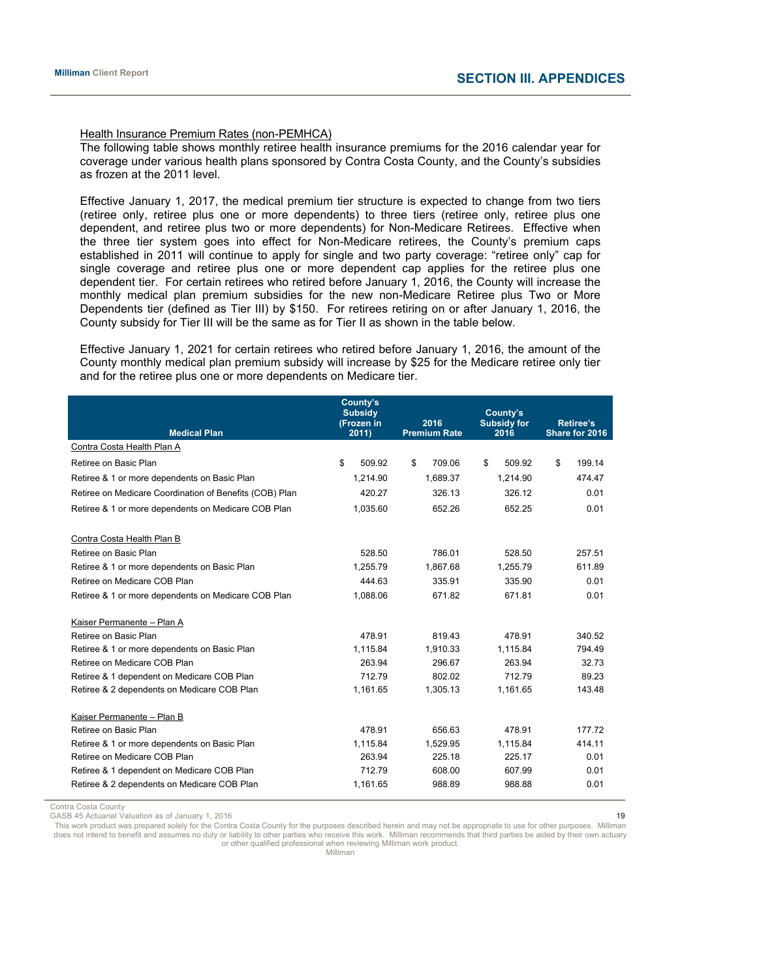#### Health Insurance Premium Rates (non-PEMHCA)

The following table shows monthly retiree health insurance premiums for the 2016 calendar year for coverage under various health plans sponsored by Contra Costa County, and the County's subsidies as frozen at the 2011 level.

Effective January 1, 2017, the medical premium tier structure is expected to change from two tiers (retiree only, retiree plus one or more dependents) to three tiers (retiree only, retiree plus one dependent, and retiree plus two or more dependents) for Non-Medicare Retirees. Effective when the three tier system goes into effect for Non-Medicare retirees, the County's premium caps established in 2011 will continue to apply for single and two party coverage: "retiree only" cap for single coverage and retiree plus one or more dependent cap applies for the retiree plus one dependent tier. For certain retirees who retired before January 1, 2016, the County will increase the monthly medical plan premium subsidies for the new non-Medicare Retiree plus Two or More Dependents tier (defined as Tier III) by \$150. For retirees retiring on or after January 1, 2016, the County subsidy for Tier III will be the same as for Tier II as shown in the table below.

Effective January 1, 2021 for certain retirees who retired before January 1, 2016, the amount of the County monthly medical plan premium subsidy will increase by \$25 for the Medicare retiree only tier and for the retiree plus one or more dependents on Medicare tier.

| <b>Medical Plan</b>                                     | County's<br><b>Subsidy</b><br>(Frozen in<br>2011) | 2016<br><b>Premium Rate</b> | County's<br><b>Subsidy for</b><br>2016 | <b>Retiree's</b><br>Share for 2016 |  |
|---------------------------------------------------------|---------------------------------------------------|-----------------------------|----------------------------------------|------------------------------------|--|
| Contra Costa Health Plan A                              |                                                   |                             |                                        |                                    |  |
| Retiree on Basic Plan                                   | \$<br>509.92                                      | \$<br>709.06                | \$<br>509.92                           | \$<br>199.14                       |  |
| Retiree & 1 or more dependents on Basic Plan            | 1.214.90                                          | 1.689.37                    | 1.214.90                               | 474.47                             |  |
| Retiree on Medicare Coordination of Benefits (COB) Plan | 420.27                                            | 326.13                      | 326.12                                 | 0.01                               |  |
| Retiree & 1 or more dependents on Medicare COB Plan     | 1.035.60                                          | 652.26                      | 652.25                                 | 0.01                               |  |
| Contra Costa Health Plan B                              |                                                   |                             |                                        |                                    |  |
| Retiree on Basic Plan                                   | 528.50                                            | 786.01                      | 528.50                                 | 257.51                             |  |
| Retiree & 1 or more dependents on Basic Plan            | 1.255.79                                          | 1.867.68                    | 1.255.79                               | 611.89                             |  |
| Retiree on Medicare COB Plan                            | 444.63                                            | 335.91                      | 335.90                                 | 0.01                               |  |
| Retiree & 1 or more dependents on Medicare COB Plan     | 1,088.06                                          | 671.82                      | 671.81                                 | 0.01                               |  |
| Kaiser Permanente - Plan A                              |                                                   |                             |                                        |                                    |  |
| Retiree on Basic Plan                                   | 478.91                                            | 819.43                      | 478.91                                 | 340.52                             |  |
| Retiree & 1 or more dependents on Basic Plan            | 1,115.84                                          | 1,910.33                    | 1,115.84                               | 794.49                             |  |
| Retiree on Medicare COB Plan                            | 263.94                                            | 296.67                      | 263.94                                 | 32.73                              |  |
| Retiree & 1 dependent on Medicare COB Plan              | 712.79                                            | 802.02                      | 712.79                                 | 89.23                              |  |
| Retiree & 2 dependents on Medicare COB Plan             | 1,161.65                                          | 1,305.13                    | 1,161.65                               | 143.48                             |  |
| Kaiser Permanente - Plan B                              |                                                   |                             |                                        |                                    |  |
| Retiree on Basic Plan                                   | 478.91                                            | 656.63                      | 478.91                                 | 177.72                             |  |
| Retiree & 1 or more dependents on Basic Plan            | 1.115.84                                          | 1.529.95                    | 1,115.84                               | 414.11                             |  |
| Retiree on Medicare COB Plan                            | 263.94                                            | 225.18                      | 225.17                                 | 0.01                               |  |
| Retiree & 1 dependent on Medicare COB Plan              | 712.79                                            | 608.00                      | 607.99                                 | 0.01                               |  |
| Retiree & 2 dependents on Medicare COB Plan             | 1,161.65                                          | 988.89                      | 988.88                                 | 0.01                               |  |

Contra Costa County

GASB 45 Actuarial Valuation as of January 1, 2016 19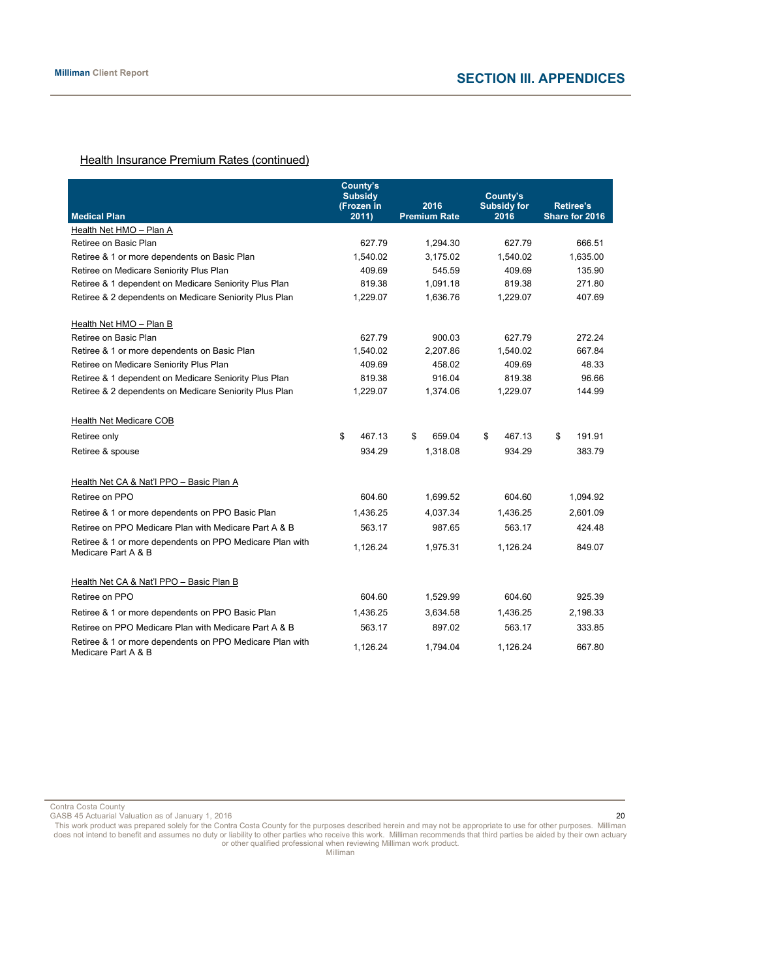# **Health Insurance Premium Rates (continued)**

|                                                                                 | County's<br><b>Subsidy</b><br>(Frozen in | 2016                | County's<br><b>Subsidy for</b> | <b>Retiree's</b> |  |
|---------------------------------------------------------------------------------|------------------------------------------|---------------------|--------------------------------|------------------|--|
| <b>Medical Plan</b>                                                             | 2011)                                    | <b>Premium Rate</b> | 2016                           | Share for 2016   |  |
| Health Net HMO - Plan A                                                         |                                          |                     |                                |                  |  |
| Retiree on Basic Plan                                                           | 627.79                                   | 1,294.30            | 627.79                         | 666.51           |  |
| Retiree & 1 or more dependents on Basic Plan                                    | 1,540.02                                 | 3,175.02            | 1,540.02                       | 1,635.00         |  |
| Retiree on Medicare Seniority Plus Plan                                         | 409.69                                   | 545.59              | 409.69                         | 135.90           |  |
| Retiree & 1 dependent on Medicare Seniority Plus Plan                           | 819.38                                   | 1.091.18            | 819.38                         | 271.80           |  |
| Retiree & 2 dependents on Medicare Seniority Plus Plan                          | 1,229.07                                 | 1,636.76            | 1,229.07                       | 407.69           |  |
| Health Net HMO - Plan B                                                         |                                          |                     |                                |                  |  |
| Retiree on Basic Plan                                                           | 627.79                                   | 900.03              | 627.79                         | 272.24           |  |
| Retiree & 1 or more dependents on Basic Plan                                    | 1,540.02                                 | 2,207.86            | 1,540.02                       | 667.84           |  |
| Retiree on Medicare Seniority Plus Plan                                         | 409.69                                   | 458.02              | 409.69                         | 48.33            |  |
| Retiree & 1 dependent on Medicare Seniority Plus Plan                           | 819.38                                   | 916.04              | 819.38                         | 96.66            |  |
| Retiree & 2 dependents on Medicare Seniority Plus Plan                          | 1,229.07                                 | 1,374.06            | 1,229.07                       | 144.99           |  |
| <b>Health Net Medicare COB</b>                                                  |                                          |                     |                                |                  |  |
| Retiree only                                                                    | \$<br>467.13                             | \$<br>659.04        | \$<br>467.13                   | 191.91<br>\$     |  |
| Retiree & spouse                                                                | 934.29                                   | 1,318.08            | 934.29                         | 383.79           |  |
| Health Net CA & Nat'l PPO - Basic Plan A                                        |                                          |                     |                                |                  |  |
| Retiree on PPO                                                                  | 604.60                                   | 1,699.52            | 604.60                         | 1,094.92         |  |
| Retiree & 1 or more dependents on PPO Basic Plan                                | 1,436.25                                 | 4,037.34            | 1,436.25                       | 2,601.09         |  |
| Retiree on PPO Medicare Plan with Medicare Part A & B                           | 563.17                                   | 987.65              | 563.17                         | 424.48           |  |
| Retiree & 1 or more dependents on PPO Medicare Plan with<br>Medicare Part A & B | 1,126.24                                 | 1,975.31            | 1,126.24                       | 849.07           |  |
| Health Net CA & Nat'l PPO - Basic Plan B                                        |                                          |                     |                                |                  |  |
| Retiree on PPO                                                                  | 604.60                                   | 1,529.99            | 604.60                         | 925.39           |  |
| Retiree & 1 or more dependents on PPO Basic Plan                                | 1,436.25                                 | 3,634.58            | 1,436.25                       | 2,198.33         |  |
| Retiree on PPO Medicare Plan with Medicare Part A & B                           | 563.17                                   | 897.02              | 563.17                         | 333.85           |  |
| Retiree & 1 or more dependents on PPO Medicare Plan with<br>Medicare Part A & B | 1,126.24                                 | 1,794.04            | 1,126.24                       | 667.80           |  |

Contra Costa County GASB 45 Actuarial Valuation as of January 1, 2016 20

This work product was prepared solely for the Contra Costa County for the purposes described herein and may not be appropriate to use for other purposes. Milliman does not intend to benefit and assumes no duty or liability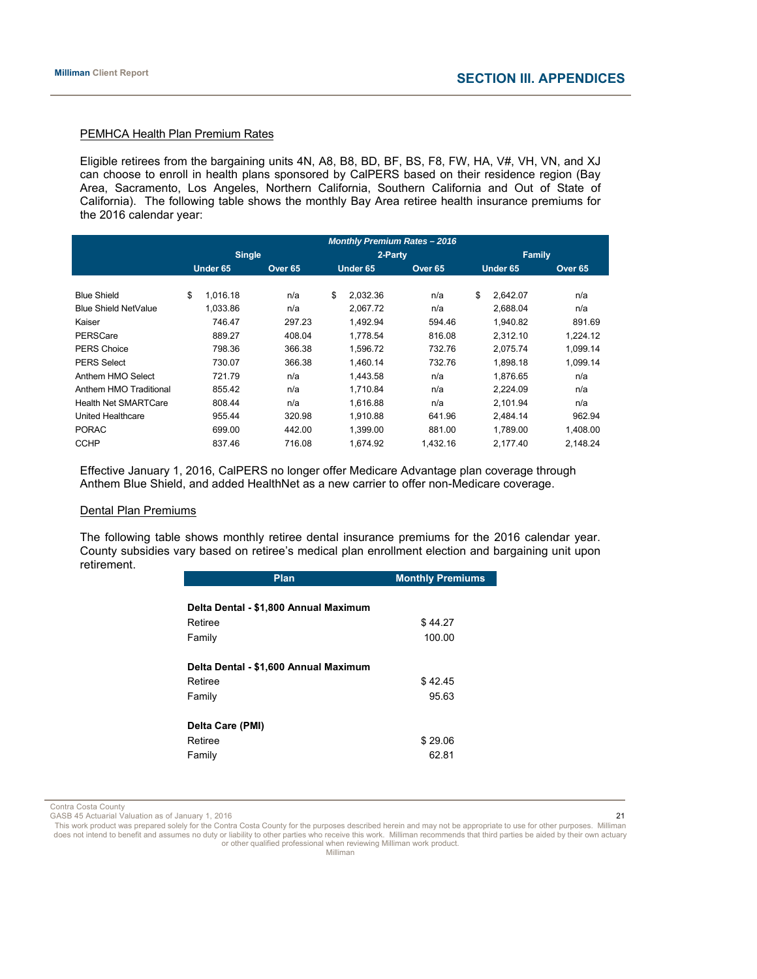#### PEMHCA Health Plan Premium Rates

Eligible retirees from the bargaining units 4N, A8, B8, BD, BF, BS, F8, FW, HA, V#, VH, VN, and XJ can choose to enroll in health plans sponsored by CalPERS based on their residence region (Bay Area, Sacramento, Los Angeles, Northern California, Southern California and Out of State of California). The following table shows the monthly Bay Area retiree health insurance premiums for the 2016 calendar year:

|                             | <b>Monthly Premium Rates - 2016</b> |          |  |                    |          |          |  |                    |    |               |  |                    |
|-----------------------------|-------------------------------------|----------|--|--------------------|----------|----------|--|--------------------|----|---------------|--|--------------------|
|                             | <b>Single</b>                       |          |  |                    | 2-Party  |          |  |                    |    | <b>Family</b> |  |                    |
|                             | Under 65                            |          |  | Over <sub>65</sub> | Under 65 |          |  | Over <sub>65</sub> |    | Under 65      |  | Over <sub>65</sub> |
|                             |                                     |          |  |                    |          |          |  |                    |    |               |  |                    |
| <b>Blue Shield</b>          | \$                                  | 1,016.18 |  | n/a                | \$       | 2,032.36 |  | n/a                | \$ | 2,642.07      |  | n/a                |
| <b>Blue Shield NetValue</b> |                                     | 1.033.86 |  | n/a                |          | 2.067.72 |  | n/a                |    | 2.688.04      |  | n/a                |
| Kaiser                      |                                     | 746.47   |  | 297.23             |          | 1.492.94 |  | 594.46             |    | 1,940.82      |  | 891.69             |
| PERSCare                    |                                     | 889.27   |  | 408.04             |          | 1.778.54 |  | 816.08             |    | 2.312.10      |  | 1.224.12           |
| <b>PERS Choice</b>          |                                     | 798.36   |  | 366.38             |          | 1.596.72 |  | 732.76             |    | 2.075.74      |  | 1,099.14           |
| <b>PERS Select</b>          |                                     | 730.07   |  | 366.38             |          | 1.460.14 |  | 732.76             |    | 1.898.18      |  | 1,099.14           |
| Anthem HMO Select           |                                     | 721.79   |  | n/a                |          | 1.443.58 |  | n/a                |    | 1.876.65      |  | n/a                |
| Anthem HMO Traditional      |                                     | 855.42   |  | n/a                |          | 1.710.84 |  | n/a                |    | 2,224.09      |  | n/a                |
| <b>Health Net SMARTCare</b> |                                     | 808.44   |  | n/a                |          | 1.616.88 |  | n/a                |    | 2,101.94      |  | n/a                |
| United Healthcare           |                                     | 955.44   |  | 320.98             |          | 1.910.88 |  | 641.96             |    | 2.484.14      |  | 962.94             |
| <b>PORAC</b>                |                                     | 699.00   |  | 442.00             |          | 1.399.00 |  | 881.00             |    | 1,789.00      |  | 1,408.00           |
| <b>CCHP</b>                 |                                     | 837.46   |  | 716.08             |          | 1.674.92 |  | 1,432.16           |    | 2.177.40      |  | 2.148.24           |

Effective January 1, 2016, CalPERS no longer offer Medicare Advantage plan coverage through Anthem Blue Shield, and added HealthNet as a new carrier to offer non-Medicare coverage.

# Dental Plan Premiums

The following table shows monthly retiree dental insurance premiums for the 2016 calendar year. County subsidies vary based on retiree's medical plan enrollment election and bargaining unit upon retirement.

| <b>Plan</b>                           | <b>Monthly Premiums</b> |
|---------------------------------------|-------------------------|
|                                       |                         |
| Delta Dental - \$1,800 Annual Maximum |                         |
| Retiree                               | \$44.27                 |
| Family                                | 100.00                  |
| Delta Dental - \$1,600 Annual Maximum |                         |
| Retiree                               | \$42.45                 |
| Family                                | 95.63                   |
| Delta Care (PMI)                      |                         |
| Retiree                               | \$29.06                 |
| Family                                | 62.81                   |

Contra Costa County

GASB 45 Actuarial Valuation as of January 1, 2016 21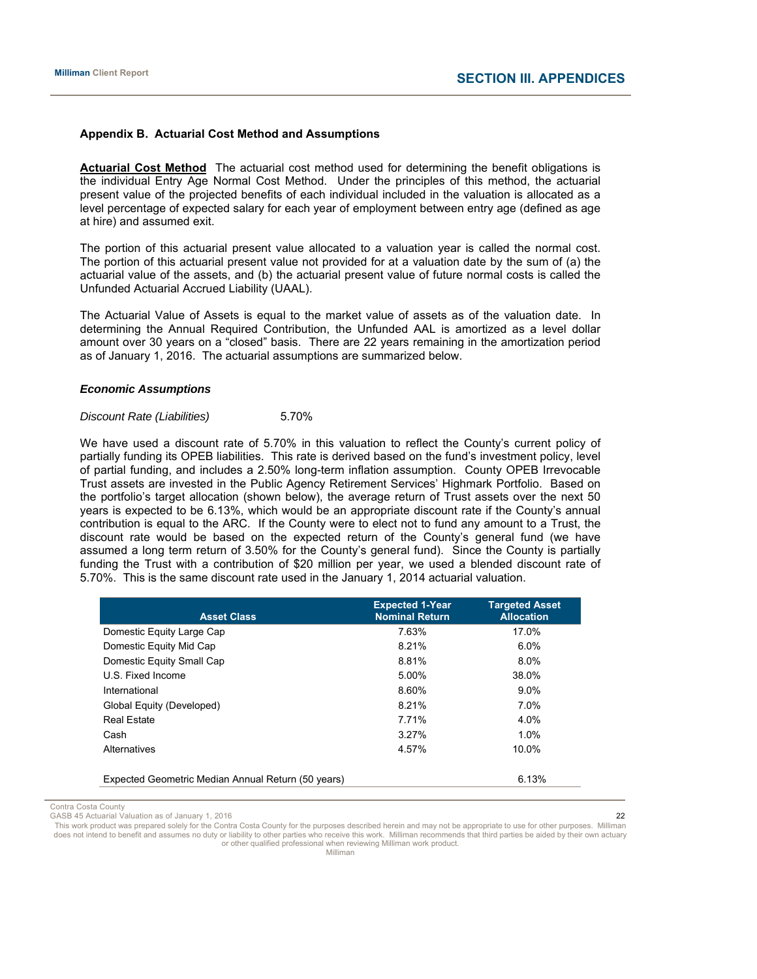#### **Appendix B. Actuarial Cost Method and Assumptions**

**Actuarial Cost Method** The actuarial cost method used for determining the benefit obligations is the individual Entry Age Normal Cost Method. Under the principles of this method, the actuarial present value of the projected benefits of each individual included in the valuation is allocated as a level percentage of expected salary for each year of employment between entry age (defined as age at hire) and assumed exit.

The portion of this actuarial present value allocated to a valuation year is called the normal cost. The portion of this actuarial present value not provided for at a valuation date by the sum of (a) the actuarial value of the assets, and (b) the actuarial present value of future normal costs is called the Unfunded Actuarial Accrued Liability (UAAL).

The Actuarial Value of Assets is equal to the market value of assets as of the valuation date. In determining the Annual Required Contribution, the Unfunded AAL is amortized as a level dollar amount over 30 years on a "closed" basis. There are 22 years remaining in the amortization period as of January 1, 2016. The actuarial assumptions are summarized below.

#### *Economic Assumptions*

# *Discount Rate (Liabilities)* 5.70%

We have used a discount rate of 5.70% in this valuation to reflect the County's current policy of partially funding its OPEB liabilities. This rate is derived based on the fund's investment policy, level of partial funding, and includes a 2.50% long-term inflation assumption. County OPEB Irrevocable Trust assets are invested in the Public Agency Retirement Services' Highmark Portfolio. Based on the portfolio's target allocation (shown below), the average return of Trust assets over the next 50 years is expected to be 6.13%, which would be an appropriate discount rate if the County's annual contribution is equal to the ARC. If the County were to elect not to fund any amount to a Trust, the discount rate would be based on the expected return of the County's general fund (we have assumed a long term return of 3.50% for the County's general fund). Since the County is partially funding the Trust with a contribution of \$20 million per year, we used a blended discount rate of 5.70%. This is the same discount rate used in the January 1, 2014 actuarial valuation.

| <b>Asset Class</b>                                 | <b>Expected 1-Year</b><br><b>Nominal Return</b> | <b>Targeted Asset</b><br><b>Allocation</b> |
|----------------------------------------------------|-------------------------------------------------|--------------------------------------------|
| Domestic Equity Large Cap                          | 7.63%                                           | 17.0%                                      |
| Domestic Equity Mid Cap                            | 8.21%                                           | $6.0\%$                                    |
| Domestic Equity Small Cap                          | 8.81%                                           | 8.0%                                       |
| U.S. Fixed Income                                  | 5.00%                                           | 38.0%                                      |
| International                                      | 8.60%                                           | $9.0\%$                                    |
| Global Equity (Developed)                          | 8.21%                                           | 7.0%                                       |
| <b>Real Estate</b>                                 | 7.71%                                           | 4.0%                                       |
| Cash                                               | 3.27%                                           | $1.0\%$                                    |
| Alternatives                                       | 4.57%                                           | 10.0%                                      |
| Expected Geometric Median Annual Return (50 years) |                                                 | 6.13%                                      |

Contra Costa County 

GASB 45 Actuarial Valuation as of January 1, 2016 22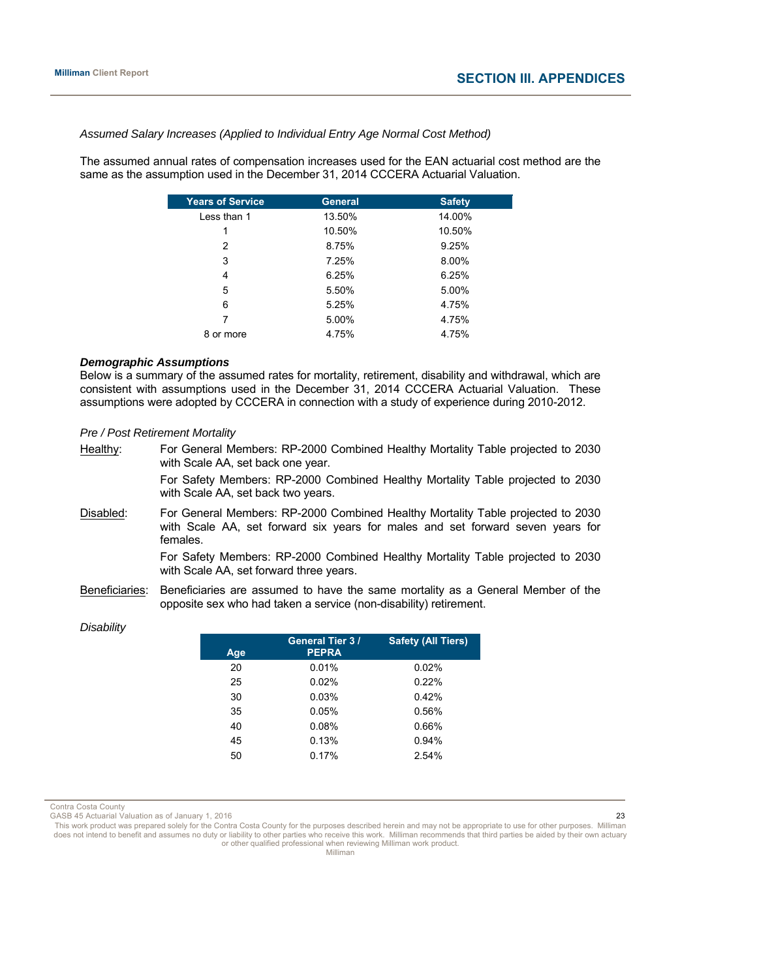*Assumed Salary Increases (Applied to Individual Entry Age Normal Cost Method)*

The assumed annual rates of compensation increases used for the EAN actuarial cost method are the same as the assumption used in the December 31, 2014 CCCERA Actuarial Valuation.

| <b>Years of Service</b> | <b>General</b> | <b>Safety</b> |
|-------------------------|----------------|---------------|
| Less than 1             | 13.50%         | 14.00%        |
| 1                       | 10.50%         | 10.50%        |
| 2                       | 8.75%          | 9.25%         |
| 3                       | 7.25%          | 8.00%         |
| 4                       | 6.25%          | 6.25%         |
| 5                       | 5.50%          | 5.00%         |
| 6                       | 5.25%          | 4.75%         |
| 7                       | 5.00%          | 4.75%         |
| 8 or more               | 4.75%          | 4.75%         |

#### *Demographic Assumptions*

Below is a summary of the assumed rates for mortality, retirement, disability and withdrawal, which are consistent with assumptions used in the December 31, 2014 CCCERA Actuarial Valuation. These assumptions were adopted by CCCERA in connection with a study of experience during 2010-2012.

# *Pre / Post Retirement Mortality*

| Healthy:       | For General Members: RP-2000 Combined Healthy Mortality Table projected to 2030<br>with Scale AA, set back one year.                                                          |
|----------------|-------------------------------------------------------------------------------------------------------------------------------------------------------------------------------|
|                | For Safety Members: RP-2000 Combined Healthy Mortality Table projected to 2030<br>with Scale AA, set back two years.                                                          |
| Disabled:      | For General Members: RP-2000 Combined Healthy Mortality Table projected to 2030<br>with Scale AA, set forward six years for males and set forward seven years for<br>females. |
|                | For Safety Members: RP-2000 Combined Healthy Mortality Table projected to 2030<br>with Scale AA, set forward three years.                                                     |
| Beneficiaries: | Beneficiaries are assumed to have the same mortality as a General Member of the<br>opposite sex who had taken a service (non-disability) retirement.                          |

# *Disability*

| Age | <b>General Tier 3/</b><br><b>PEPRA</b> | <b>Safety (All Tiers)</b> |
|-----|----------------------------------------|---------------------------|
| 20  | 0.01%                                  | 0.02%                     |
| 25  | 0.02%                                  | 0.22%                     |
| 30  | 0.03%                                  | 0.42%                     |
| 35  | 0.05%                                  | 0.56%                     |
| 40  | 0.08%                                  | 0.66%                     |
| 45  | 0.13%                                  | 0.94%                     |
| 50  | 0.17%                                  | 2.54%                     |

Contra Costa County

GASB 45 Actuarial Valuation as of January 1, 2016 23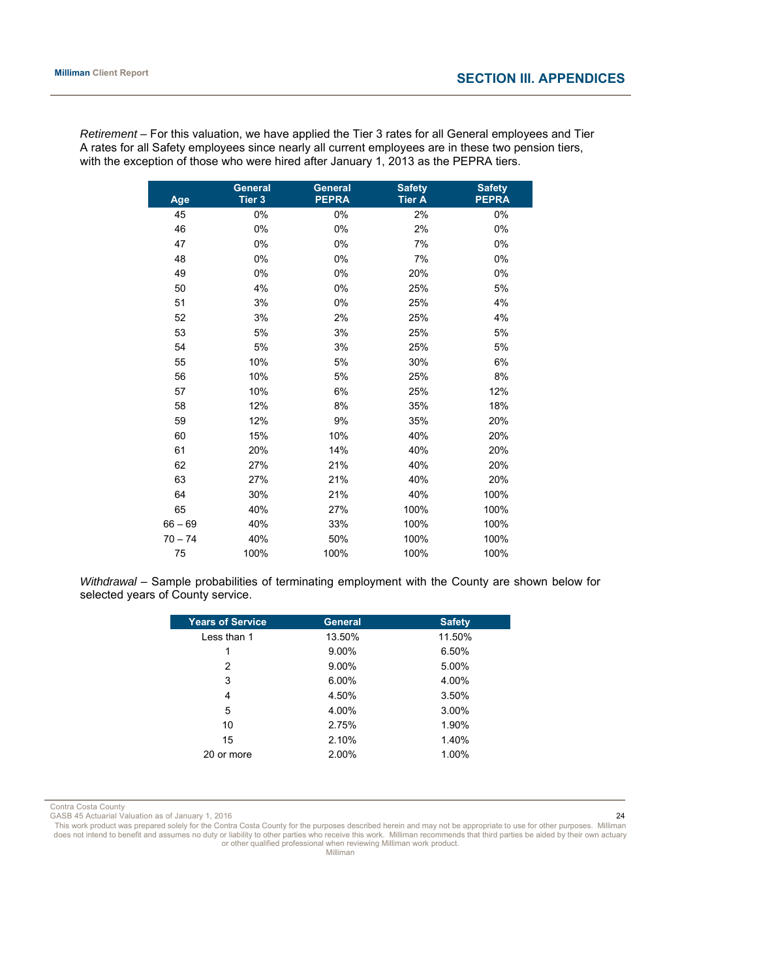*Retirement –* For this valuation, we have applied the Tier 3 rates for all General employees and Tier A rates for all Safety employees since nearly all current employees are in these two pension tiers, with the exception of those who were hired after January 1, 2013 as the PEPRA tiers.

| Age       | <b>General</b><br>Tier 3 | <b>General</b><br><b>PEPRA</b> | <b>Safety</b><br><b>Tier A</b> | <b>Safety</b><br><b>PEPRA</b> |
|-----------|--------------------------|--------------------------------|--------------------------------|-------------------------------|
| 45        | 0%                       | 0%                             | 2%                             | 0%                            |
| 46        | 0%                       | 0%                             | 2%                             | 0%                            |
| 47        | $0\%$                    | 0%                             | 7%                             | 0%                            |
| 48        | 0%                       | 0%                             | 7%                             | 0%                            |
| 49        | 0%                       | 0%                             | 20%                            | 0%                            |
| 50        | 4%                       | 0%                             | 25%                            | 5%                            |
| 51        | 3%                       | 0%                             | 25%                            | 4%                            |
| 52        | 3%                       | 2%                             | 25%                            | 4%                            |
| 53        | 5%                       | 3%                             | 25%                            | 5%                            |
| 54        | 5%                       | 3%                             | 25%                            | 5%                            |
| 55        | 10%                      | 5%                             | 30%                            | 6%                            |
| 56        | 10%                      | 5%                             | 25%                            | 8%                            |
| 57        | 10%                      | 6%                             | 25%                            | 12%                           |
| 58        | 12%                      | 8%                             | 35%                            | 18%                           |
| 59        | 12%                      | 9%                             | 35%                            | 20%                           |
| 60        | 15%                      | 10%                            | 40%                            | 20%                           |
| 61        | 20%                      | 14%                            | 40%                            | 20%                           |
| 62        | 27%                      | 21%                            | 40%                            | 20%                           |
| 63        | 27%                      | 21%                            | 40%                            | 20%                           |
| 64        | 30%                      | 21%                            | 40%                            | 100%                          |
| 65        | 40%                      | 27%                            | 100%                           | 100%                          |
| $66 - 69$ | 40%                      | 33%                            | 100%                           | 100%                          |
| $70 - 74$ | 40%                      | 50%                            | 100%                           | 100%                          |
| 75        | 100%                     | 100%                           | 100%                           | 100%                          |

*Withdrawal* – Sample probabilities of terminating employment with the County are shown below for selected years of County service.

| <b>Years of Service</b> | <b>General</b> | <b>Safety</b> |
|-------------------------|----------------|---------------|
| Less than 1             | 13.50%         | 11.50%        |
| 1                       | 9.00%          | 6.50%         |
| 2                       | 9.00%          | 5.00%         |
| 3                       | $6.00\%$       | 4.00%         |
| 4                       | 4.50%          | 3.50%         |
| 5                       | 4.00%          | 3.00%         |
| 10                      | 2.75%          | 1.90%         |
| 15                      | 2.10%          | 1.40%         |
| 20 or more              | 2.00%          | 1.00%         |

Contra Costa County

GASB 45 Actuarial Valuation as of January 1, 2016 24

This work product was prepared solely for the Contra Costa County for the purposes described herein and may not be appropriate to use for other purposes. Milliman<br>does not intend to benefit and assumes no duty or liabilit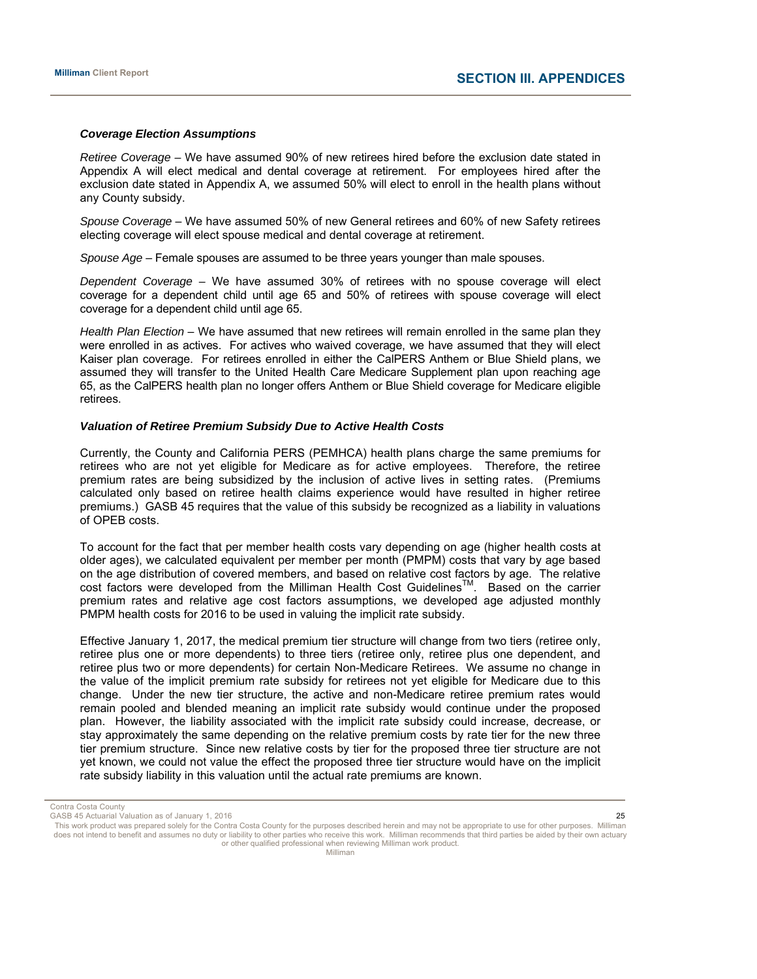#### *Coverage Election Assumptions*

*Retiree Coverage –* We have assumed 90% of new retirees hired before the exclusion date stated in Appendix A will elect medical and dental coverage at retirement. For employees hired after the exclusion date stated in Appendix A, we assumed 50% will elect to enroll in the health plans without any County subsidy.

*Spouse Coverage* – We have assumed 50% of new General retirees and 60% of new Safety retirees electing coverage will elect spouse medical and dental coverage at retirement.

*Spouse Age* – Female spouses are assumed to be three years younger than male spouses.

*Dependent Coverage –* We have assumed 30% of retirees with no spouse coverage will elect coverage for a dependent child until age 65 and 50% of retirees with spouse coverage will elect coverage for a dependent child until age 65.

*Health Plan Election* – We have assumed that new retirees will remain enrolled in the same plan they were enrolled in as actives. For actives who waived coverage, we have assumed that they will elect Kaiser plan coverage. For retirees enrolled in either the CalPERS Anthem or Blue Shield plans, we assumed they will transfer to the United Health Care Medicare Supplement plan upon reaching age 65, as the CalPERS health plan no longer offers Anthem or Blue Shield coverage for Medicare eligible retirees.

#### *Valuation of Retiree Premium Subsidy Due to Active Health Costs*

Currently, the County and California PERS (PEMHCA) health plans charge the same premiums for retirees who are not yet eligible for Medicare as for active employees. Therefore, the retiree premium rates are being subsidized by the inclusion of active lives in setting rates. (Premiums calculated only based on retiree health claims experience would have resulted in higher retiree premiums.) GASB 45 requires that the value of this subsidy be recognized as a liability in valuations of OPEB costs.

To account for the fact that per member health costs vary depending on age (higher health costs at older ages), we calculated equivalent per member per month (PMPM) costs that vary by age based on the age distribution of covered members, and based on relative cost factors by age. The relative cost factors were developed from the Milliman Health Cost Guidelines™. Based on the carrier premium rates and relative age cost factors assumptions, we developed age adjusted monthly PMPM health costs for 2016 to be used in valuing the implicit rate subsidy.

Effective January 1, 2017, the medical premium tier structure will change from two tiers (retiree only, retiree plus one or more dependents) to three tiers (retiree only, retiree plus one dependent, and retiree plus two or more dependents) for certain Non-Medicare Retirees. We assume no change in the value of the implicit premium rate subsidy for retirees not yet eligible for Medicare due to this change. Under the new tier structure, the active and non-Medicare retiree premium rates would remain pooled and blended meaning an implicit rate subsidy would continue under the proposed plan. However, the liability associated with the implicit rate subsidy could increase, decrease, or stay approximately the same depending on the relative premium costs by rate tier for the new three tier premium structure. Since new relative costs by tier for the proposed three tier structure are not yet known, we could not value the effect the proposed three tier structure would have on the implicit rate subsidy liability in this valuation until the actual rate premiums are known.

Contra Costa County

GASB 45 Actuarial Valuation as of January 1, 2016 25 Actual 2008 25 25 26 27 28 29 29 29 29 29 29 29 20 20 20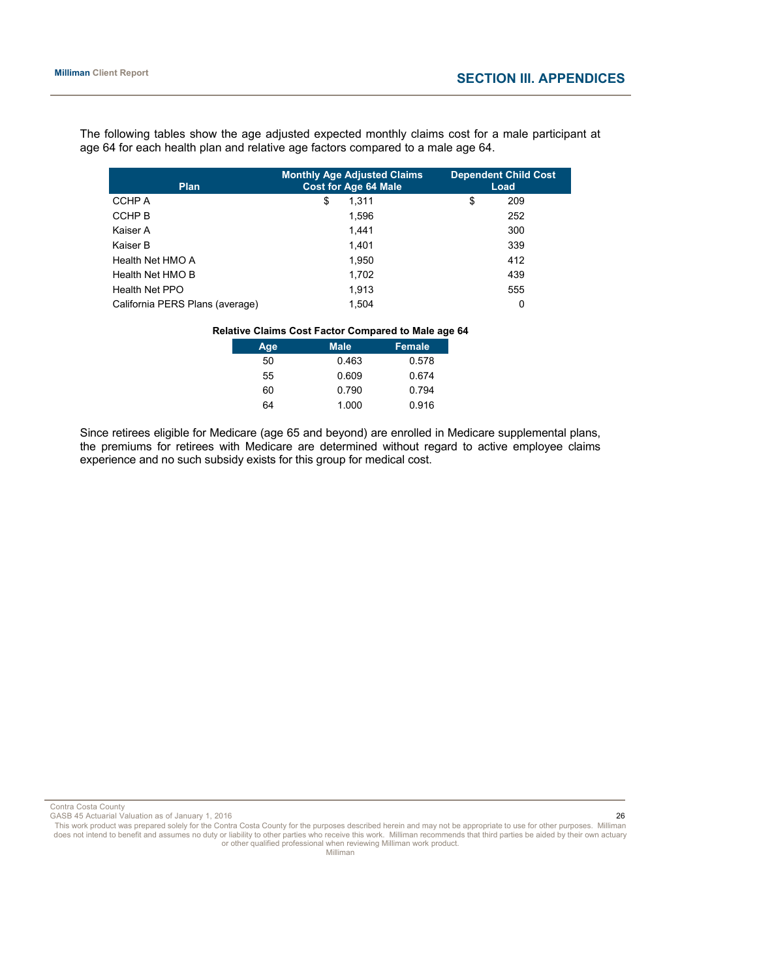The following tables show the age adjusted expected monthly claims cost for a male participant at age 64 for each health plan and relative age factors compared to a male age 64.

| <b>Plan</b>                     | <b>Monthly Age Adjusted Claims</b><br><b>Cost for Age 64 Male</b> | <b>Dependent Child Cost</b><br>Load |
|---------------------------------|-------------------------------------------------------------------|-------------------------------------|
| <b>CCHPA</b>                    | \$<br>1.311                                                       | \$<br>209                           |
| CCHP B                          | 1,596                                                             | 252                                 |
| Kaiser A                        | 1.441                                                             | 300                                 |
| Kaiser B                        | 1.401                                                             | 339                                 |
| Health Net HMO A                | 1,950                                                             | 412                                 |
| Health Net HMO B                | 1.702                                                             | 439                                 |
| Health Net PPO                  | 1,913                                                             | 555                                 |
| California PERS Plans (average) | 1,504                                                             | 0                                   |

#### **Relative Claims Cost Factor Compared to Male age 64**

| Age | <b>Male</b> | Female |
|-----|-------------|--------|
| 50  | 0.463       | 0.578  |
| 55  | 0.609       | 0.674  |
| 60  | 0.790       | 0.794  |
| 64  | 1.000       | 0.916  |

Since retirees eligible for Medicare (age 65 and beyond) are enrolled in Medicare supplemental plans, the premiums for retirees with Medicare are determined without regard to active employee claims experience and no such subsidy exists for this group for medical cost.

Contra Costa County

GASB 45 Actuarial Valuation as of January 1, 2016 26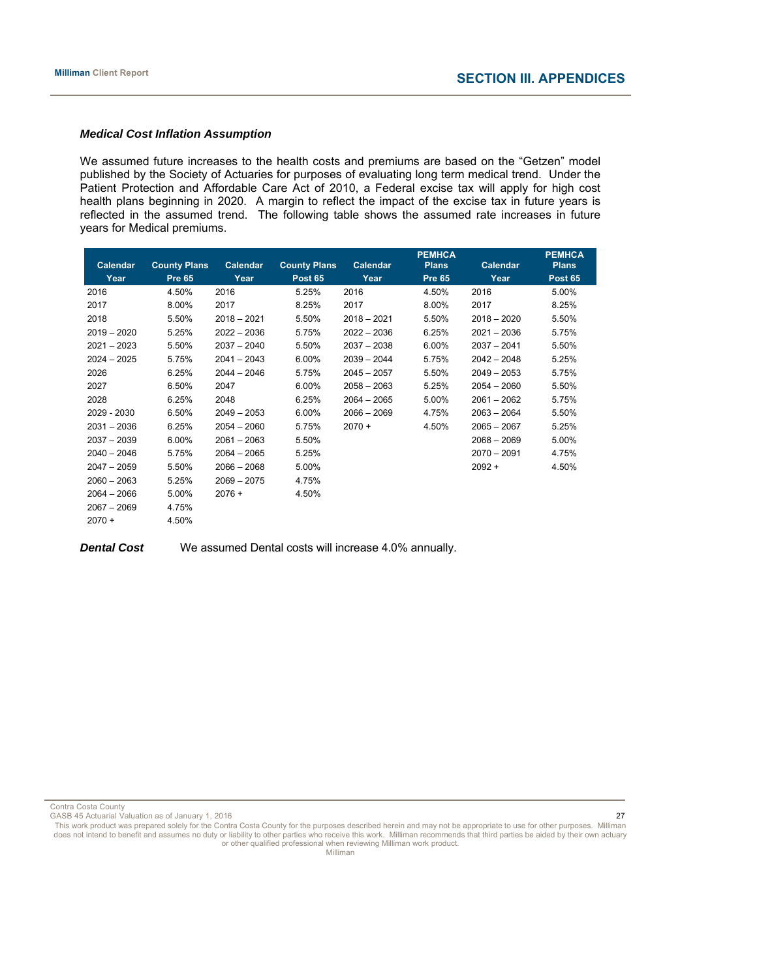#### *Medical Cost Inflation Assumption*

We assumed future increases to the health costs and premiums are based on the "Getzen" model published by the Society of Actuaries for purposes of evaluating long term medical trend. Under the Patient Protection and Affordable Care Act of 2010, a Federal excise tax will apply for high cost health plans beginning in 2020. A margin to reflect the impact of the excise tax in future years is reflected in the assumed trend. The following table shows the assumed rate increases in future years for Medical premiums.

|               |                     |               |                     |               | <b>PEMHCA</b> |               | <b>PEMHCA</b>  |
|---------------|---------------------|---------------|---------------------|---------------|---------------|---------------|----------------|
| Calendar      | <b>County Plans</b> | Calendar      | <b>County Plans</b> | Calendar      | <b>Plans</b>  | Calendar      | <b>Plans</b>   |
| Year          | <b>Pre 65</b>       | Year          | <b>Post 65</b>      | Year          | <b>Pre 65</b> | Year          | <b>Post 65</b> |
| 2016          | 4.50%               | 2016          | 5.25%               | 2016          | 4.50%         | 2016          | 5.00%          |
| 2017          | 8.00%               | 2017          | 8.25%               | 2017          | 8.00%         | 2017          | 8.25%          |
| 2018          | 5.50%               | $2018 - 2021$ | 5.50%               | $2018 - 2021$ | 5.50%         | $2018 - 2020$ | 5.50%          |
| $2019 - 2020$ | 5.25%               | $2022 - 2036$ | 5.75%               | $2022 - 2036$ | 6.25%         | $2021 - 2036$ | 5.75%          |
| $2021 - 2023$ | 5.50%               | $2037 - 2040$ | 5.50%               | $2037 - 2038$ | 6.00%         | $2037 - 2041$ | 5.50%          |
| $2024 - 2025$ | 5.75%               | $2041 - 2043$ | 6.00%               | $2039 - 2044$ | 5.75%         | $2042 - 2048$ | 5.25%          |
| 2026          | 6.25%               | $2044 - 2046$ | 5.75%               | $2045 - 2057$ | 5.50%         | $2049 - 2053$ | 5.75%          |
| 2027          | 6.50%               | 2047          | 6.00%               | $2058 - 2063$ | 5.25%         | $2054 - 2060$ | 5.50%          |
| 2028          | 6.25%               | 2048          | 6.25%               | $2064 - 2065$ | 5.00%         | $2061 - 2062$ | 5.75%          |
| 2029 - 2030   | 6.50%               | $2049 - 2053$ | 6.00%               | $2066 - 2069$ | 4.75%         | $2063 - 2064$ | 5.50%          |
| $2031 - 2036$ | 6.25%               | $2054 - 2060$ | 5.75%               | $2070 +$      | 4.50%         | $2065 - 2067$ | 5.25%          |
| $2037 - 2039$ | 6.00%               | $2061 - 2063$ | 5.50%               |               |               | $2068 - 2069$ | 5.00%          |
| $2040 - 2046$ | 5.75%               | $2064 - 2065$ | 5.25%               |               |               | $2070 - 2091$ | 4.75%          |
| $2047 - 2059$ | 5.50%               | $2066 - 2068$ | 5.00%               |               |               | $2092 +$      | 4.50%          |
| $2060 - 2063$ | 5.25%               | $2069 - 2075$ | 4.75%               |               |               |               |                |
| $2064 - 2066$ | 5.00%               | $2076 +$      | 4.50%               |               |               |               |                |
| $2067 - 2069$ | 4.75%               |               |                     |               |               |               |                |
| $2070 +$      | 4.50%               |               |                     |               |               |               |                |

**Dental Cost** We assumed Dental costs will increase 4.0% annually.

Contra Costa County

GASB 45 Actuarial Valuation as of January 1, 2016 27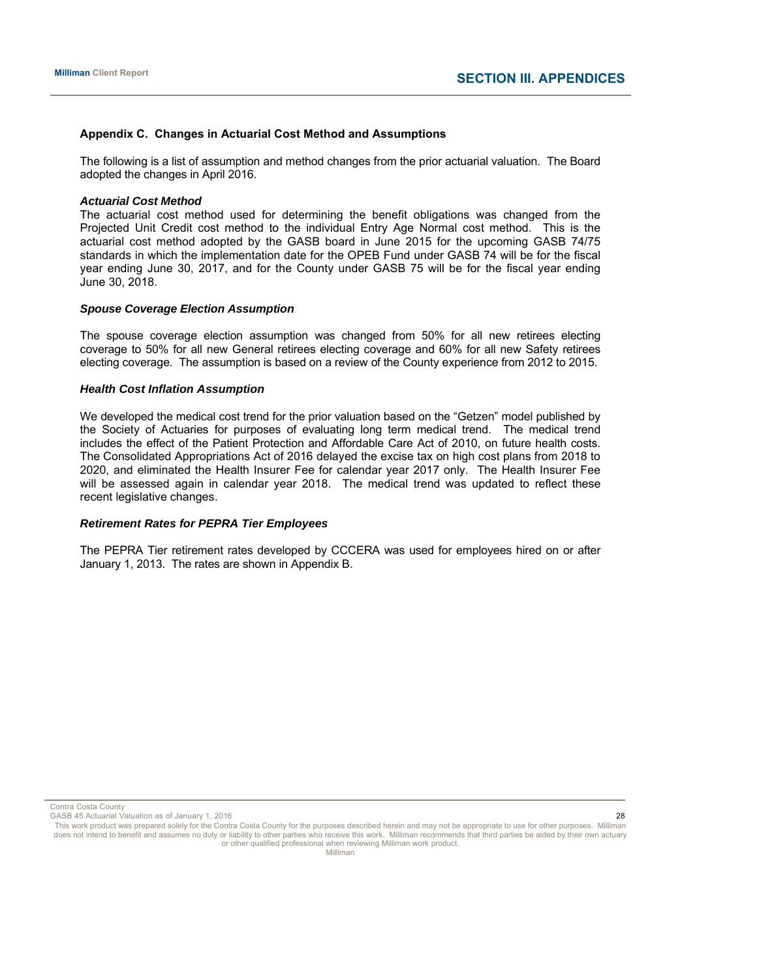#### **Appendix C. Changes in Actuarial Cost Method and Assumptions**

The following is a list of assumption and method changes from the prior actuarial valuation. The Board adopted the changes in April 2016.

#### *Actuarial Cost Method*

The actuarial cost method used for determining the benefit obligations was changed from the Projected Unit Credit cost method to the individual Entry Age Normal cost method. This is the actuarial cost method adopted by the GASB board in June 2015 for the upcoming GASB 74/75 standards in which the implementation date for the OPEB Fund under GASB 74 will be for the fiscal year ending June 30, 2017, and for the County under GASB 75 will be for the fiscal year ending June 30, 2018.

#### *Spouse Coverage Election Assumption*

The spouse coverage election assumption was changed from 50% for all new retirees electing coverage to 50% for all new General retirees electing coverage and 60% for all new Safety retirees electing coverage. The assumption is based on a review of the County experience from 2012 to 2015.

#### *Health Cost Inflation Assumption*

We developed the medical cost trend for the prior valuation based on the "Getzen" model published by the Society of Actuaries for purposes of evaluating long term medical trend. The medical trend includes the effect of the Patient Protection and Affordable Care Act of 2010, on future health costs. The Consolidated Appropriations Act of 2016 delayed the excise tax on high cost plans from 2018 to 2020, and eliminated the Health Insurer Fee for calendar year 2017 only. The Health Insurer Fee will be assessed again in calendar year 2018. The medical trend was updated to reflect these recent legislative changes.

#### *Retirement Rates for PEPRA Tier Employees*

The PEPRA Tier retirement rates developed by CCCERA was used for employees hired on or after January 1, 2013. The rates are shown in Appendix B.

Contra Costa County

GASB 45 Actuarial Valuation as of January 1, 2016 28 Actual 20 and 20 and 20 and 20 and 20 and 20 and 20 and 20